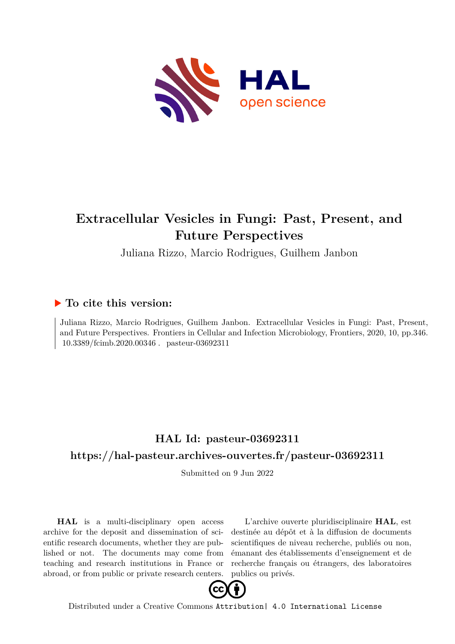

# **Extracellular Vesicles in Fungi: Past, Present, and Future Perspectives**

Juliana Rizzo, Marcio Rodrigues, Guilhem Janbon

## **To cite this version:**

Juliana Rizzo, Marcio Rodrigues, Guilhem Janbon. Extracellular Vesicles in Fungi: Past, Present, and Future Perspectives. Frontiers in Cellular and Infection Microbiology, Frontiers, 2020, 10, pp.346.  $10.3389/\text{fcimb}.2020.00346$ . pasteur-03692311

## **HAL Id: pasteur-03692311 <https://hal-pasteur.archives-ouvertes.fr/pasteur-03692311>**

Submitted on 9 Jun 2022

**HAL** is a multi-disciplinary open access archive for the deposit and dissemination of scientific research documents, whether they are published or not. The documents may come from teaching and research institutions in France or abroad, or from public or private research centers.

L'archive ouverte pluridisciplinaire **HAL**, est destinée au dépôt et à la diffusion de documents scientifiques de niveau recherche, publiés ou non, émanant des établissements d'enseignement et de recherche français ou étrangers, des laboratoires publics ou privés.



Distributed under a Creative Commons [Attribution| 4.0 International License](http://creativecommons.org/licenses/by/4.0/)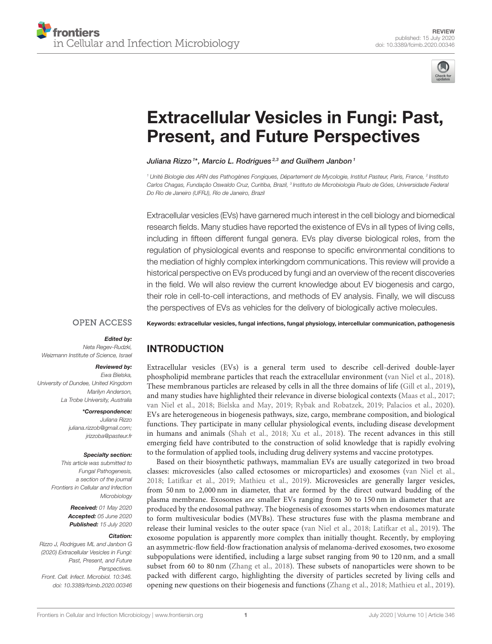

# [Extracellular Vesicles in Fungi: Past,](https://www.frontiersin.org/articles/10.3389/fcimb.2020.00346/full) Present, and Future Perspectives

#### [Juliana Rizzo](http://loop.frontiersin.org/people/964140/overview) <sup>1\*</sup>, [Marcio L. Rodrigues](http://loop.frontiersin.org/people/987167/overview)<sup>2,3</sup> and [Guilhem Janbon](http://loop.frontiersin.org/people/580042/overview) <sup>1</sup>

<sup>1</sup> Unité Biologie des ARN des Pathogènes Fongiques, Département de Mycologie, Institut Pasteur, Paris, France, <sup>2</sup> Instituto Carlos Chagas, Fundação Oswaldo Cruz, Curitiba, Brazil, <sup>3</sup> Instituto de Microbiologia Paulo de Góes, Universidade Federal Do Rio de Janeiro (UFRJ), Rio de Janeiro, Brazil

Extracellular vesicles (EVs) have garnered much interest in the cell biology and biomedical research fields. Many studies have reported the existence of EVs in all types of living cells, including in fifteen different fungal genera. EVs play diverse biological roles, from the regulation of physiological events and response to specific environmental conditions to the mediation of highly complex interkingdom communications. This review will provide a historical perspective on EVs produced by fungi and an overview of the recent discoveries in the field. We will also review the current knowledge about EV biogenesis and cargo, their role in cell-to-cell interactions, and methods of EV analysis. Finally, we will discuss the perspectives of EVs as vehicles for the delivery of biologically active molecules.

#### **OPEN ACCESS**

Edited by:

Neta Regev-Rudzki, Weizmann Institute of Science, Israel

#### Reviewed by:

Ewa Bielska, University of Dundee, United Kingdom Marilyn Anderson, La Trobe University, Australia

\*Correspondence:

Juliana Rizzo [juliana.rizzob@gmail.com;](mailto:juliana.rizzob@gmail.com) [jrizzoba@pasteur.fr](mailto:jrizzoba@pasteur.fr)

#### Specialty section:

This article was submitted to Fungal Pathogenesis, a section of the journal Frontiers in Cellular and Infection **Microbiology** 

> Received: 01 May 2020 Accepted: 05 June 2020 Published: 15 July 2020

#### Citation:

Rizzo J, Rodrigues ML and Janbon G (2020) Extracellular Vesicles in Fungi: Past, Present, and Future Perspectives. Front. Cell. Infect. Microbiol. 10:346. doi: [10.3389/fcimb.2020.00346](https://doi.org/10.3389/fcimb.2020.00346) Keywords: extracellular vesicles, fungal infections, fungal physiology, intercellular communication, pathogenesis

## INTRODUCTION

Extracellular vesicles (EVs) is a general term used to describe cell-derived double-layer phospholipid membrane particles that reach the extracellular environment [\(van Niel et al., 2018\)](#page-12-0). These membranous particles are released by cells in all the three domains of life [\(Gill et al., 2019\)](#page-10-0), and many studies have highlighted their relevance in diverse biological contexts [\(Maas et al., 2017;](#page-11-0) [van Niel et al., 2018;](#page-12-0) [Bielska and May, 2019;](#page-9-0) [Rybak and Robatzek, 2019;](#page-12-1) [Palacios et al., 2020\)](#page-11-1). EVs are heterogeneous in biogenesis pathways, size, cargo, membrane composition, and biological functions. They participate in many cellular physiological events, including disease development in humans and animals [\(Shah et al., 2018;](#page-12-2) [Xu et al., 2018\)](#page-12-3). The recent advances in this still emerging field have contributed to the construction of solid knowledge that is rapidly evolving to the formulation of applied tools, including drug delivery systems and vaccine prototypes.

Based on their biosynthetic pathways, mammalian EVs are usually categorized in two broad classes: microvesicles (also called ectosomes or microparticles) and exosomes [\(van Niel et al.,](#page-12-0) [2018;](#page-12-0) [Latifkar et al., 2019;](#page-10-1) [Mathieu et al., 2019\)](#page-11-2). Microvesicles are generally larger vesicles, from 50 nm to 2,000 nm in diameter, that are formed by the direct outward budding of the plasma membrane. Exosomes are smaller EVs ranging from 30 to 150 nm in diameter that are produced by the endosomal pathway. The biogenesis of exosomes starts when endosomes maturate to form multivesicular bodies (MVBs). These structures fuse with the plasma membrane and release their luminal vesicles to the outer space [\(van Niel et al., 2018;](#page-12-0) [Latifkar et al., 2019\)](#page-10-1). The exosome population is apparently more complex than initially thought. Recently, by employing an asymmetric-flow field-flow fractionation analysis of melanoma-derived exosomes, two exosome subpopulations were identified, including a large subset ranging from 90 to 120 nm, and a small subset from 60 to 80 nm [\(Zhang et al., 2018\)](#page-13-0). These subsets of nanoparticles were shown to be packed with different cargo, highlighting the diversity of particles secreted by living cells and opening new questions on their biogenesis and functions [\(Zhang et al., 2018;](#page-13-0) [Mathieu et al., 2019\)](#page-11-2).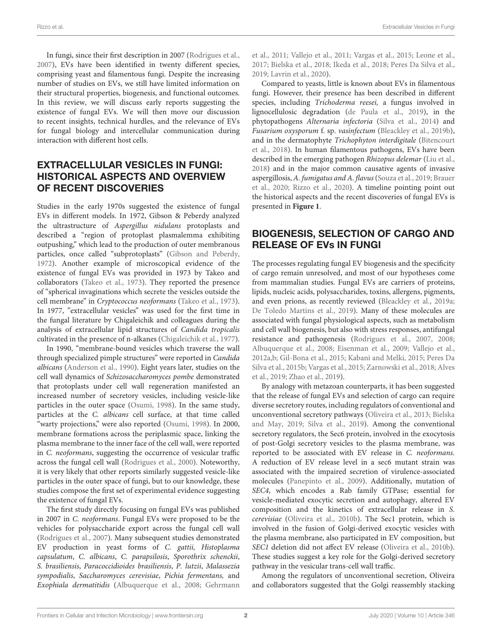In fungi, since their first description in 2007 [\(Rodrigues et al.,](#page-12-4) [2007\)](#page-12-4), EVs have been identified in twenty different species, comprising yeast and filamentous fungi. Despite the increasing number of studies on EVs, we still have limited information on their structural properties, biogenesis, and functional outcomes. In this review, we will discuss early reports suggesting the existence of fungal EVs. We will then move our discussion to recent insights, technical hurdles, and the relevance of EVs for fungal biology and intercellular communication during interaction with different host cells.

#### EXTRACELLULAR VESICLES IN FUNGI: HISTORICAL ASPECTS AND OVERVIEW OF RECENT DISCOVERIES

Studies in the early 1970s suggested the existence of fungal EVs in different models. In 1972, Gibson & Peberdy analyzed the ultrastructure of Aspergillus nidulans protoplasts and described a "region of protoplast plasmalemma exhibiting outpushing," which lead to the production of outer membranous particles, once called "subprotoplasts" [\(Gibson and Peberdy,](#page-10-2) [1972\)](#page-10-2). Another example of microscopical evidence of the existence of fungal EVs was provided in 1973 by Takeo and collaborators [\(Takeo et al., 1973\)](#page-12-5). They reported the presence of "spherical invaginations which secrete the vesicles outside the cell membrane" in Cryptococcus neoformans [\(Takeo et al., 1973\)](#page-12-5). In 1977, "extracellular vesicles" was used for the first time in the fungal literature by Chigaleichik and colleagues during the analysis of extracellular lipid structures of Candida tropicalis cultivated in the presence of n-alkanes [\(Chigaleichik et al., 1977\)](#page-9-1).

In 1990, "membrane-bound vesicles which traverse the wall through specialized pimple structures" were reported in Candida albicans [\(Anderson et al., 1990\)](#page-9-2). Eight years later, studies on the cell wall dynamics of Schizosaccharomyces pombe demonstrated that protoplasts under cell wall regeneration manifested an increased number of secretory vesicles, including vesicle-like particles in the outer space [\(Osumi, 1998\)](#page-11-3). In the same study, particles at the C. albicans cell surface, at that time called "warty projections," were also reported [\(Osumi, 1998\)](#page-11-3). In 2000, membrane formations across the periplasmic space, linking the plasma membrane to the inner face of the cell wall, were reported in C. neoformans, suggesting the occurrence of vesicular traffic across the fungal cell wall [\(Rodrigues et al., 2000\)](#page-12-6). Noteworthy, it is very likely that other reports similarly suggested vesicle-like particles in the outer space of fungi, but to our knowledge, these studies compose the first set of experimental evidence suggesting the existence of fungal EVs.

The first study directly focusing on fungal EVs was published in 2007 in C. neoformans. Fungal EVs were proposed to be the vehicles for polysaccharide export across the fungal cell wall [\(Rodrigues et al., 2007\)](#page-12-4). Many subsequent studies demonstrated EV production in yeast forms of C. gattii, Histoplasma capsulatum, C. albicans, C. parapsilosis, Sporothrix schenckii, S. brasiliensis, Paracoccidioides brasiliensis, P. lutzii, Malassezia sympodialis, Saccharomyces cerevisiae, Pichia fermentans, and Exophiala dermatitidis [\(Albuquerque et al., 2008;](#page-9-3) Gehrmann et al., [2011;](#page-10-3) [Vallejo et al., 2011;](#page-12-7) [Vargas et al., 2015;](#page-12-8) [Leone](#page-11-4) et al., [2017;](#page-11-4) [Bielska et al., 2018;](#page-9-4) [Ikeda et al., 2018;](#page-10-4) [Peres Da Silva](#page-11-5) et al., [2019;](#page-11-5) [Lavrin et al., 2020\)](#page-10-5).

Compared to yeasts, little is known about EVs in filamentous fungi. However, their presence has been described in different species, including Trichoderma reesei, a fungus involved in lignocellulosic degradation [\(de Paula et al., 2019\)](#page-10-6), in the phytopathogens Alternaria infectoria [\(Silva et al., 2014\)](#page-12-9) and Fusarium oxysporum f. sp. vasinfectum [\(Bleackley et al., 2019b\)](#page-9-5), and in the dermatophyte Trichophyton interdigitale (Bitencourt et al., [2018\)](#page-9-6). In human filamentous pathogens, EVs have been described in the emerging pathogen Rhizopus delemar [\(Liu et al.,](#page-11-6) [2018\)](#page-11-6) and in the major common causative agents of invasive aspergillosis, A. fumigatus and A. flavus [\(Souza et al., 2019;](#page-12-10) Brauer et al., [2020;](#page-9-7) [Rizzo et al., 2020\)](#page-11-7). A timeline pointing point out the historical aspects and the recent discoveries of fungal EVs is presented in **[Figure 1](#page-3-0)**.

#### BIOGENESIS, SELECTION OF CARGO AND RELEASE OF EVs IN FUNGI

The processes regulating fungal EV biogenesis and the specificity of cargo remain unresolved, and most of our hypotheses come from mammalian studies. Fungal EVs are carriers of proteins, lipids, nucleic acids, polysaccharides, toxins, allergens, pigments, and even prions, as recently reviewed [\(Bleackley et al., 2019a;](#page-9-8) [De Toledo Martins et al., 2019\)](#page-10-7). Many of these molecules are associated with fungal physiological aspects, such as metabolism and cell wall biogenesis, but also with stress responses, antifungal resistance and pathogenesis [\(Rodrigues et al., 2007,](#page-12-4) [2008;](#page-12-11) [Albuquerque et al., 2008;](#page-9-3) [Eisenman et al., 2009;](#page-10-8) [Vallejo et al.,](#page-12-12) [2012a](#page-12-12)[,b;](#page-12-13) [Gil-Bona et al., 2015;](#page-10-9) [Kabani and Melki, 2015;](#page-10-10) Peres Da Silva et al., [2015b;](#page-11-8) [Vargas et al., 2015;](#page-12-8) [Zarnowski et al., 2018;](#page-13-1) Alves et al., [2019;](#page-9-9) [Zhao et al., 2019\)](#page-13-2).

By analogy with metazoan counterparts, it has been suggested that the release of fungal EVs and selection of cargo can require diverse secretory routes, including regulators of conventional and unconventional secretory pathways [\(Oliveira et al., 2013;](#page-11-9) Bielska and May, [2019;](#page-9-0) [Silva et al., 2019\)](#page-12-14). Among the conventional secretory regulators, the Sec6 protein, involved in the exocytosis of post-Golgi secretory vesicles to the plasma membrane, was reported to be associated with EV release in C. neoformans. A reduction of EV release level in a sec6 mutant strain was associated with the impaired secretion of virulence-associated molecules [\(Panepinto et al., 2009\)](#page-11-10). Additionally, mutation of SEC4, which encodes a Rab family GTPase; essential for vesicle-mediated exocytic secretion and autophagy, altered EV composition and the kinetics of extracellular release in S. cerevisiae [\(Oliveira et al., 2010b\)](#page-11-11). The Sec1 protein, which is involved in the fusion of Golgi-derived exocytic vesicles with the plasma membrane, also participated in EV composition, but SEC1 deletion did not affect EV release [\(Oliveira et al., 2010b\)](#page-11-11). These studies suggest a key role for the Golgi-derived secretory pathway in the vesicular trans-cell wall traffic.

Among the regulators of unconventional secretion, Oliveira and collaborators suggested that the Golgi reassembly stacking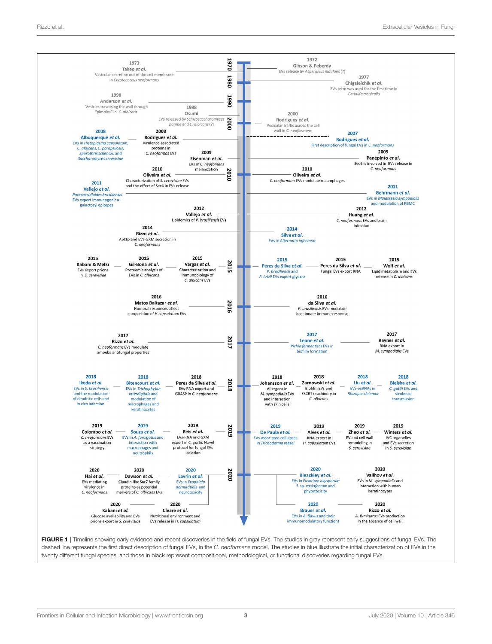

<span id="page-3-0"></span>FIGURE 1 | Timeline showing early evidence and recent discoveries in the field of fungal EVs. The studies in gray represent early suggestions of fungal EVs. The dashed line represents the first direct description of fungal EVs, in the C. neoformans model. The studies in blue illustrate the initial characterization of EVs in the twenty different fungal species, and those in black represent compositional, methodological, or functional discoveries regarding fungal EVs.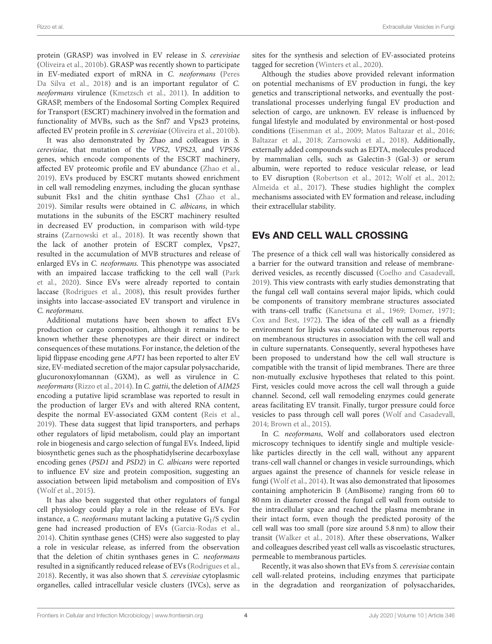protein (GRASP) was involved in EV release in S. cerevisiae [\(Oliveira et al., 2010b\)](#page-11-11). GRASP was recently shown to participate in EV-mediated export of mRNA in C. neoformans (Peres Da Silva et al., [2018\)](#page-11-12) and is an important regulator of C. neoformans virulence [\(Kmetzsch et al., 2011\)](#page-10-11). In addition to GRASP, members of the Endosomal Sorting Complex Required for Transport (ESCRT) machinery involved in the formation and functionality of MVBs, such as the Snf7 and Vps23 proteins, affected EV protein profile in S. cerevisiae [\(Oliveira et al., 2010b\)](#page-11-11).

It was also demonstrated by Zhao and colleagues in S. cerevisiae, that mutation of the VPS2, VPS23, and VPS36 genes, which encode components of the ESCRT machinery, affected EV proteomic profile and EV abundance [\(Zhao et al.,](#page-13-2) [2019\)](#page-13-2). EVs produced by ESCRT mutants showed enrichment in cell wall remodeling enzymes, including the glucan synthase subunit Fks1 and the chitin synthase Chs1 [\(Zhao et al.,](#page-13-2) [2019\)](#page-13-2). Similar results were obtained in C. albicans, in which mutations in the subunits of the ESCRT machinery resulted in decreased EV production, in comparison with wild-type strains [\(Zarnowski et al., 2018\)](#page-13-1). It was recently shown that the lack of another protein of ESCRT complex, Vps27, resulted in the accumulation of MVB structures and release of enlarged EVs in C. neoformans. This phenotype was associated with an impaired laccase trafficking to the cell wall (Park et al., [2020\)](#page-11-13). Since EVs were already reported to contain laccase [\(Rodrigues et al., 2008\)](#page-12-11), this result provides further insights into laccase-associated EV transport and virulence in C. neoformans.

Additional mutations have been shown to affect EVs production or cargo composition, although it remains to be known whether these phenotypes are their direct or indirect consequences of these mutations. For instance, the deletion of the lipid flippase encoding gene APT1 has been reported to alter EV size, EV-mediated secretion of the major capsular polysaccharide, glucuronoxylomannan (GXM), as well as virulence in C. neoformans [\(Rizzo et al., 2014\)](#page-11-14). In C. gattii, the deletion of AIM25 encoding a putative lipid scramblase was reported to result in the production of larger EVs and with altered RNA content, despite the normal EV-associated GXM content [\(Reis et al.,](#page-11-15) [2019\)](#page-11-15). These data suggest that lipid transporters, and perhaps other regulators of lipid metabolism, could play an important role in biogenesis and cargo selection of fungal EVs. Indeed, lipid biosynthetic genes such as the phosphatidylserine decarboxylase encoding genes (PSD1 and PSD2) in C. albicans were reported to influence EV size and protein composition, suggesting an association between lipid metabolism and composition of EVs [\(Wolf et al., 2015\)](#page-12-15).

It has also been suggested that other regulators of fungal cell physiology could play a role in the release of EVs. For instance, a C. neoformans mutant lacking a putative  $G_1/S$  cyclin gene had increased production of EVs [\(Garcia-Rodas et al.,](#page-10-12) [2014\)](#page-10-12). Chitin synthase genes (CHS) were also suggested to play a role in vesicular release, as inferred from the observation that the deletion of chitin synthases genes in C. neoformans resulted in a significantly reduced release of EVs [\(Rodrigues et al.,](#page-11-16) [2018\)](#page-11-16). Recently, it was also shown that S. cerevisiae cytoplasmic organelles, called intracellular vesicle clusters (IVCs), serve as sites for the synthesis and selection of EV-associated proteins tagged for secretion [\(Winters et al., 2020\)](#page-12-16).

Although the studies above provided relevant information on potential mechanisms of EV production in fungi, the key genetics and transcriptional networks, and eventually the posttranslational processes underlying fungal EV production and selection of cargo, are unknown. EV release is influenced by fungal lifestyle and modulated by environmental or host-posed conditions [\(Eisenman et al., 2009;](#page-10-8) [Matos Baltazar et al., 2016;](#page-11-17) [Baltazar et al., 2018;](#page-9-10) [Zarnowski et al., 2018\)](#page-13-1). Additionally, externally added compounds such as EDTA, molecules produced by mammalian cells, such as Galectin-3 (Gal-3) or serum albumin, were reported to reduce vesicular release, or lead to EV disruption [\(Robertson et al., 2012;](#page-11-18) [Wolf et al., 2012;](#page-12-17) [Almeida et al., 2017\)](#page-9-11). These studies highlight the complex mechanisms associated with EV formation and release, including their extracellular stability.

#### EVs AND CELL WALL CROSSING

The presence of a thick cell wall was historically considered as a barrier for the outward transition and release of membranederived vesicles, as recently discussed [\(Coelho and Casadevall,](#page-10-13) [2019\)](#page-10-13). This view contrasts with early studies demonstrating that the fungal cell wall contains several major lipids, which could be components of transitory membrane structures associated with trans-cell traffic [\(Kanetsuna et al., 1969;](#page-10-14) [Domer, 1971;](#page-10-15) [Cox and Best, 1972\)](#page-10-16). The idea of the cell wall as a friendly environment for lipids was consolidated by numerous reports on membranous structures in association with the cell wall and in culture supernatants. Consequently, several hypotheses have been proposed to understand how the cell wall structure is compatible with the transit of lipid membranes. There are three non-mutually exclusive hypotheses that related to this point. First, vesicles could move across the cell wall through a guide channel. Second, cell wall remodeling enzymes could generate areas facilitating EV transit. Finally, turgor pressure could force vesicles to pass through cell wall pores [\(Wolf and Casadevall,](#page-12-18) [2014;](#page-12-18) [Brown et al., 2015\)](#page-9-12).

In C. neoformans, Wolf and collaborators used electron microscopy techniques to identify single and multiple vesiclelike particles directly in the cell wall, without any apparent trans-cell wall channel or changes in vesicle surroundings, which argues against the presence of channels for vesicle release in fungi [\(Wolf et al., 2014\)](#page-12-19). It was also demonstrated that liposomes containing amphotericin B (AmBisome) ranging from 60 to 80 nm in diameter crossed the fungal cell wall from outside to the intracellular space and reached the plasma membrane in their intact form, even though the predicted porosity of the cell wall was too small (pore size around 5.8 nm) to allow their transit [\(Walker et al., 2018\)](#page-12-20). After these observations, Walker and colleagues described yeast cell walls as viscoelastic structures, permeable to membranous particles.

Recently, it was also shown that EVs from S. cerevisiae contain cell wall-related proteins, including enzymes that participate in the degradation and reorganization of polysaccharides,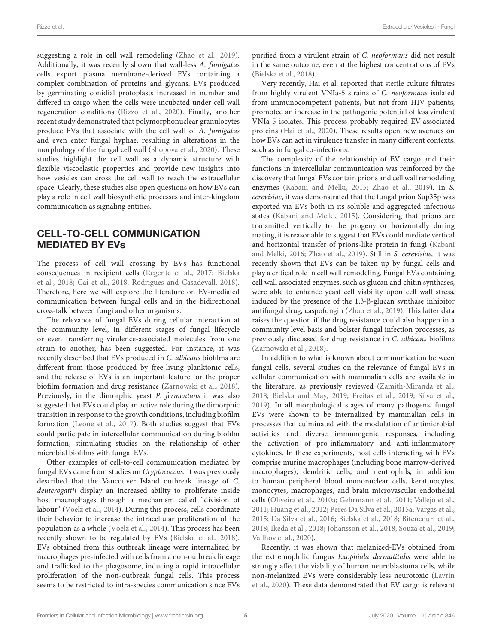suggesting a role in cell wall remodeling [\(Zhao et al., 2019\)](#page-13-2). Additionally, it was recently shown that wall-less A. fumigatus cells export plasma membrane-derived EVs containing a complex combination of proteins and glycans. EVs produced by germinating conidial protoplasts increased in number and differed in cargo when the cells were incubated under cell wall regeneration conditions [\(Rizzo et al., 2020\)](#page-11-7). Finally, another recent study demonstrated that polymorphonuclear granulocytes produce EVs that associate with the cell wall of A. fumigatus and even enter fungal hyphae, resulting in alterations in the morphology of the fungal cell wall [\(Shopova et al., 2020\)](#page-12-21). These studies highlight the cell wall as a dynamic structure with flexible viscoelastic properties and provide new insights into how vesicles can cross the cell wall to reach the extracellular space. Clearly, these studies also open questions on how EVs can play a role in cell wall biosynthetic processes and inter-kingdom communication as signaling entities.

#### CELL-TO-CELL COMMUNICATION MEDIATED BY EVs

The process of cell wall crossing by EVs has functional consequences in recipient cells [\(Regente et al., 2017;](#page-11-19) Bielska et al., [2018;](#page-9-4) [Cai et al., 2018;](#page-9-13) [Rodrigues and Casadevall, 2018\)](#page-12-22). Therefore, here we will explore the literature on EV-mediated communication between fungal cells and in the bidirectional cross-talk between fungi and other organisms.

The relevance of fungal EVs during cellular interaction at the community level, in different stages of fungal lifecycle or even transferring virulence-associated molecules from one strain to another, has been suggested. For instance, it was recently described that EVs produced in C. albicans biofilms are different from those produced by free-living planktonic cells, and the release of EVs is an important feature for the proper biofilm formation and drug resistance [\(Zarnowski et al., 2018\)](#page-13-1). Previously, in the dimorphic yeast P. fermentans it was also suggested that EVs could play an active role during the dimorphic transition in response to the growth conditions, including biofilm formation [\(Leone et al., 2017\)](#page-11-4). Both studies suggest that EVs could participate in intercellular communication during biofilm formation, stimulating studies on the relationship of other microbial biofilms with fungal EVs.

Other examples of cell-to-cell communication mediated by fungal EVs came from studies on Cryptococcus. It was previously described that the Vancouver Island outbreak lineage of C. deuterogattii display an increased ability to proliferate inside host macrophages through a mechanism called "division of labour" [\(Voelz et al., 2014\)](#page-12-23). During this process, cells coordinate their behavior to increase the intracellular proliferation of the population as a whole [\(Voelz et al., 2014\)](#page-12-23). This process has been recently shown to be regulated by EVs [\(Bielska et al., 2018\)](#page-9-4). EVs obtained from this outbreak lineage were internalized by macrophages pre-infected with cells from a non-outbreak lineage and trafficked to the phagosome, inducing a rapid intracellular proliferation of the non-outbreak fungal cells. This process seems to be restricted to intra-species communication since EVs purified from a virulent strain of C. neoformans did not result in the same outcome, even at the highest concentrations of EVs [\(Bielska et al., 2018\)](#page-9-4).

Very recently, Hai et al. reported that sterile culture filtrates from highly virulent VNIa-5 strains of C. neoformans isolated from immunocompetent patients, but not from HIV patients, promoted an increase in the pathogenic potential of less virulent VNIa-5 isolates. This process probably required EV-associated proteins [\(Hai et al., 2020\)](#page-10-17). These results open new avenues on how EVs can act in virulence transfer in many different contexts, such as in fungal co-infections.

The complexity of the relationship of EV cargo and their functions in intercellular communication was reinforced by the discovery that fungal EVs contain prions and cell wall remodeling enzymes [\(Kabani and Melki, 2015;](#page-10-10) [Zhao et al., 2019\)](#page-13-2). In S. cerevisiae, it was demonstrated that the fungal prion Sup35p was exported via EVs both in its soluble and aggregated infectious states [\(Kabani and Melki, 2015\)](#page-10-10). Considering that prions are transmitted vertically to the progeny or horizontally during mating, it is reasonable to suggest that EVs could mediate vertical and horizontal transfer of prions-like protein in fungi (Kabani and Melki, [2016;](#page-10-18) [Zhao et al., 2019\)](#page-13-2). Still in S. cerevisiae, it was recently shown that EVs can be taken up by fungal cells and play a critical role in cell wall remodeling. Fungal EVs containing cell wall associated enzymes, such as glucan and chitin synthases, were able to enhance yeast cell viability upon cell wall stress, induced by the presence of the 1,3-β-glucan synthase inhibitor antifungal drug, caspofungin [\(Zhao et al., 2019\)](#page-13-2). This latter data raises the question if the drug resistance could also happen in a community level basis and bolster fungal infection processes, as previously discussed for drug resistance in C. albicans biofilms [\(Zarnowski et al., 2018\)](#page-13-1).

In addition to what is known about communication between fungal cells, several studies on the relevance of fungal EVs in cellular communication with mammalian cells are available in the literature, as previously reviewed [\(Zamith-Miranda et al.,](#page-13-3) [2018;](#page-13-3) [Bielska and May, 2019;](#page-9-0) [Freitas et al., 2019;](#page-10-19) [Silva et al.,](#page-12-14) [2019\)](#page-12-14). In all morphological stages of many pathogens, fungal EVs were shown to be internalized by mammalian cells in processes that culminated with the modulation of antimicrobial activities and diverse immunogenic responses, including the activation of pro-inflammatory and anti-inflammatory cytokines. In these experiments, host cells interacting with EVs comprise murine macrophages (including bone marrow-derived macrophages), dendritic cells, and neutrophils, in addition to human peripheral blood mononuclear cells, keratinocytes, monocytes, macrophages, and brain microvascular endothelial cells [\(Oliveira et al., 2010a;](#page-11-20) [Gehrmann et al., 2011;](#page-10-3) [Vallejo et al.,](#page-12-7) [2011;](#page-12-7) [Huang et al., 2012;](#page-10-20) [Peres Da Silva et al., 2015a;](#page-11-21) [Vargas](#page-12-8) et al., [2015;](#page-12-8) [Da Silva et al., 2016;](#page-10-21) [Bielska et al., 2018;](#page-9-4) [Bitencourt](#page-9-6) et al., [2018;](#page-9-6) [Ikeda et al., 2018;](#page-10-4) [Johansson et al., 2018;](#page-10-22) [Souza et al.,](#page-12-10) [2019;](#page-12-10) [Vallhov et al., 2020\)](#page-12-24).

Recently, it was shown that melanized-EVs obtained from the extremophilic fungus Exophiala dermatitidis were able to strongly affect the viability of human neuroblastoma cells, while non-melanized EVs were considerably less neurotoxic (Lavrin et al., [2020\)](#page-10-5). These data demonstrated that EV cargo is relevant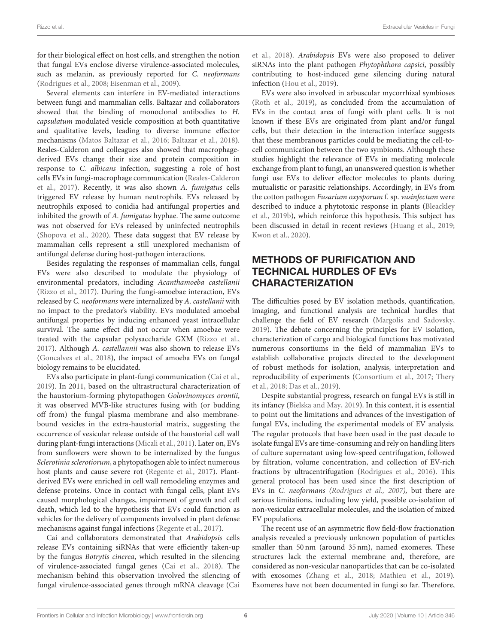for their biological effect on host cells, and strengthen the notion that fungal EVs enclose diverse virulence-associated molecules, such as melanin, as previously reported for C. neoformans [\(Rodrigues et al., 2008;](#page-12-11) [Eisenman et al., 2009\)](#page-10-8).

Several elements can interfere in EV-mediated interactions between fungi and mammalian cells. Baltazar and collaborators showed that the binding of monoclonal antibodies to H. capsulatum modulated vesicle composition at both quantitative and qualitative levels, leading to diverse immune effector mechanisms [\(Matos Baltazar et al., 2016;](#page-11-17) [Baltazar et al., 2018\)](#page-9-10). Reales-Calderon and colleagues also showed that macrophagederived EVs change their size and protein composition in response to C. albicans infection, suggesting a role of host cells EVs in fungi-macrophage communication (Reales-Calderon et al., [2017\)](#page-11-22). Recently, it was also shown A. fumigatus cells triggered EV release by human neutrophils. EVs released by neutrophils exposed to conidia had antifungal properties and inhibited the growth of A. fumigatus hyphae. The same outcome was not observed for EVs released by uninfected neutrophils [\(Shopova et al., 2020\)](#page-12-21). These data suggest that EV release by mammalian cells represent a still unexplored mechanism of antifungal defense during host-pathogen interactions.

Besides regulating the responses of mammalian cells, fungal EVs were also described to modulate the physiology of environmental predators, including Acanthamoeba castellanii [\(Rizzo et al., 2017\)](#page-11-23). During the fungi-amoebae interaction, EVs released by C. neoformans were internalized by A. castellanii with no impact to the predator's viability. EVs modulated amoebal antifungal properties by inducing enhanced yeast intracellular survival. The same effect did not occur when amoebae were treated with the capsular polysaccharide GXM [\(Rizzo et al.,](#page-11-23) [2017\)](#page-11-23). Although A. castellannii was also shown to release EVs [\(Goncalves et al., 2018\)](#page-10-23), the impact of amoeba EVs on fungal biology remains to be elucidated.

EVs also participate in plant-fungi communication [\(Cai et al.,](#page-9-14) [2019\)](#page-9-14). In 2011, based on the ultrastructural characterization of the haustorium-forming phytopathogen Golovinomyces orontii, it was observed MVB-like structures fusing with (or budding off from) the fungal plasma membrane and also membranebound vesicles in the extra-haustorial matrix, suggesting the occurrence of vesicular release outside of the haustorial cell wall during plant-fungi interactions [\(Micali et al., 2011\)](#page-11-24). Later on, EVs from sunflowers were shown to be internalized by the fungus Sclerotinia sclerotiorum, a phytopathogen able to infect numerous host plants and cause severe rot [\(Regente et al., 2017\)](#page-11-19). Plantderived EVs were enriched in cell wall remodeling enzymes and defense proteins. Once in contact with fungal cells, plant EVs caused morphological changes, impairment of growth and cell death, which led to the hypothesis that EVs could function as vehicles for the delivery of components involved in plant defense mechanisms against fungal infections [\(Regente et al., 2017\)](#page-11-19).

Cai and collaborators demonstrated that Arabidopsis cells release EVs containing siRNAs that were efficiently taken-up by the fungus Botrytis cinerea, which resulted in the silencing of virulence-associated fungal genes [\(Cai et al., 2018\)](#page-9-13). The mechanism behind this observation involved the silencing of fungal virulence-associated genes through mRNA cleavage (Cai et al., [2018\)](#page-9-13). Arabidopsis EVs were also proposed to deliver siRNAs into the plant pathogen Phytophthora capsici, possibly contributing to host-induced gene silencing during natural infection [\(Hou et al., 2019\)](#page-10-24).

EVs were also involved in arbuscular mycorrhizal symbioses [\(Roth et al., 2019\)](#page-12-25), as concluded from the accumulation of EVs in the contact area of fungi with plant cells. It is not known if these EVs are originated from plant and/or fungal cells, but their detection in the interaction interface suggests that these membranous particles could be mediating the cell-tocell communication between the two symbionts. Although these studies highlight the relevance of EVs in mediating molecule exchange from plant to fungi, an unanswered question is whether fungi use EVs to deliver effector molecules to plants during mutualistic or parasitic relationships. Accordingly, in EVs from the cotton pathogen Fusarium oxysporum f. sp. vasinfectum were described to induce a phytotoxic response in plants (Bleackley et al., [2019b\)](#page-9-5), which reinforce this hypothesis. This subject has been discussed in detail in recent reviews [\(Huang et al., 2019;](#page-10-25) [Kwon et al., 2020\)](#page-10-26).

## METHODS OF PURIFICATION AND TECHNICAL HURDLES OF EVs CHARACTERIZATION

The difficulties posed by EV isolation methods, quantification, imaging, and functional analysis are technical hurdles that challenge the field of EV research [\(Margolis and Sadovsky,](#page-11-25) [2019\)](#page-11-25). The debate concerning the principles for EV isolation, characterization of cargo and biological functions has motivated numerous consortiums in the field of mammalian EVs to establish collaborative projects directed to the development of robust methods for isolation, analysis, interpretation and reproducibility of experiments [\(Consortium et al., 2017;](#page-10-27) Thery et al., [2018;](#page-12-26) [Das et al., 2019\)](#page-10-28).

Despite substantial progress, research on fungal EVs is still in its infancy [\(Bielska and May, 2019\)](#page-9-0). In this context, it is essential to point out the limitations and advances of the investigation of fungal EVs, including the experimental models of EV analysis. The regular protocols that have been used in the past decade to isolate fungal EVs are time-consuming and rely on handling liters of culture supernatant using low-speed centrifugation, followed by filtration, volume concentration, and collection of EV-rich fractions by ultracentrifugation [\(Rodrigues et al., 2016\)](#page-12-27). This general protocol has been used since the first description of EVs in C. neoformans [\(Rodrigues et al., 2007\)](#page-12-4), but there are serious limitations, including low yield, possible co-isolation of non-vesicular extracellular molecules, and the isolation of mixed EV populations.

The recent use of an asymmetric flow field-flow fractionation analysis revealed a previously unknown population of particles smaller than 50 nm (around 35 nm), named exomeres. These structures lack the external membrane and, therefore, are considered as non-vesicular nanoparticles that can be co-isolated with exosomes [\(Zhang et al., 2018;](#page-13-0) [Mathieu et al., 2019\)](#page-11-2). Exomeres have not been documented in fungi so far. Therefore,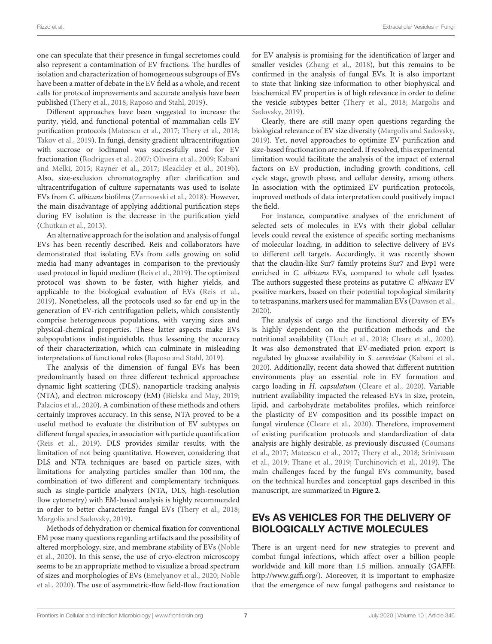one can speculate that their presence in fungal secretomes could also represent a contamination of EV fractions. The hurdles of isolation and characterization of homogeneous subgroups of EVs have been a matter of debate in the EV field as a whole, and recent calls for protocol improvements and accurate analysis have been published [\(Thery et al., 2018;](#page-12-26) [Raposo and Stahl, 2019\)](#page-11-26).

Different approaches have been suggested to increase the purity, yield, and functional potential of mammalian cells EV purification protocols [\(Mateescu et al., 2017;](#page-11-27) [Thery et al., 2018;](#page-12-26) [Takov et al., 2019\)](#page-12-28). In fungi, density gradient ultracentrifugation with sucrose or iodixanol was successfully used for EV fractionation [\(Rodrigues et al., 2007;](#page-12-4) [Oliveira et al., 2009;](#page-11-28) Kabani and Melki, [2015;](#page-10-10) [Rayner et al., 2017;](#page-11-29) [Bleackley et al., 2019b\)](#page-9-5). Also, size-exclusion chromatography after clarification and ultracentrifugation of culture supernatants was used to isolate EVs from C. albicans biofilms [\(Zarnowski et al., 2018\)](#page-13-1). However, the main disadvantage of applying additional purification steps during EV isolation is the decrease in the purification yield [\(Chutkan et al., 2013\)](#page-9-15).

An alternative approach for the isolation and analysis of fungal EVs has been recently described. Reis and collaborators have demonstrated that isolating EVs from cells growing on solid media had many advantages in comparison to the previously used protocol in liquid medium [\(Reis et al., 2019\)](#page-11-15). The optimized protocol was shown to be faster, with higher yields, and applicable to the biological evaluation of EVs [\(Reis et al.,](#page-11-15) [2019\)](#page-11-15). Nonetheless, all the protocols used so far end up in the generation of EV-rich centrifugation pellets, which consistently comprise heterogeneous populations, with varying sizes and physical-chemical properties. These latter aspects make EVs subpopulations indistinguishable, thus lessening the accuracy of their characterization, which can culminate in misleading interpretations of functional roles [\(Raposo and Stahl, 2019\)](#page-11-26).

The analysis of the dimension of fungal EVs has been predominantly based on three different technical approaches: dynamic light scattering (DLS), nanoparticle tracking analysis (NTA), and electron microscopy (EM) [\(Bielska and May, 2019;](#page-9-0) [Palacios et al., 2020\)](#page-11-1). A combination of these methods and others certainly improves accuracy. In this sense, NTA proved to be a useful method to evaluate the distribution of EV subtypes on different fungal species, in association with particle quantification [\(Reis et al., 2019\)](#page-11-15). DLS provides similar results, with the limitation of not being quantitative. However, considering that DLS and NTA techniques are based on particle sizes, with limitations for analyzing particles smaller than 100 nm, the combination of two different and complementary techniques, such as single-particle analyzers (NTA, DLS, high-resolution flow cytometry) with EM-based analysis is highly recommended in order to better characterize fungal EVs [\(Thery et al., 2018;](#page-12-26) [Margolis and Sadovsky, 2019\)](#page-11-25).

Methods of dehydration or chemical fixation for conventional EM pose many questions regarding artifacts and the possibility of altered morphology, size, and membrane stability of EVs (Noble et al., [2020\)](#page-11-30). In this sense, the use of cryo-electron microscopy seems to be an appropriate method to visualize a broad spectrum of sizes and morphologies of EVs [\(Emelyanov et al., 2020;](#page-10-29) Noble et al., [2020\)](#page-11-30). The use of asymmetric-flow field-flow fractionation for EV analysis is promising for the identification of larger and smaller vesicles [\(Zhang et al., 2018\)](#page-13-0), but this remains to be confirmed in the analysis of fungal EVs. It is also important to state that linking size information to other biophysical and biochemical EV properties is of high relevance in order to define the vesicle subtypes better [\(Thery et al., 2018;](#page-12-26) Margolis and Sadovsky, [2019\)](#page-11-25).

Clearly, there are still many open questions regarding the biological relevance of EV size diversity [\(Margolis and Sadovsky,](#page-11-25) [2019\)](#page-11-25). Yet, novel approaches to optimize EV purification and size-based fractionation are needed. If resolved, this experimental limitation would facilitate the analysis of the impact of external factors on EV production, including growth conditions, cell cycle stage, growth phase, and cellular density, among others. In association with the optimized EV purification protocols, improved methods of data interpretation could positively impact the field.

For instance, comparative analyses of the enrichment of selected sets of molecules in EVs with their global cellular levels could reveal the existence of specific sorting mechanisms of molecular loading, in addition to selective delivery of EVs to different cell targets. Accordingly, it was recently shown that the claudin-like Sur7 family proteins Sur7 and Evp1 were enriched in C. albicans EVs, compared to whole cell lysates. The authors suggested these proteins as putative C. albicans EV positive markers, based on their potential topological similarity to tetraspanins, markers used for mammalian EVs [\(Dawson et al.,](#page-10-30) [2020\)](#page-10-30).

The analysis of cargo and the functional diversity of EVs is highly dependent on the purification methods and the nutritional availability [\(Tkach et al., 2018;](#page-12-29) [Cleare et al., 2020\)](#page-9-16). It was also demonstrated that EV-mediated prion export is regulated by glucose availability in S. cerevisiae [\(Kabani et al.,](#page-10-31) [2020\)](#page-10-31). Additionally, recent data showed that different nutrition environments play an essential role in EV formation and cargo loading in H. capsulatum [\(Cleare et al., 2020\)](#page-9-16). Variable nutrient availability impacted the released EVs in size, protein, lipid, and carbohydrate metabolites profiles, which reinforce the plasticity of EV composition and its possible impact on fungal virulence [\(Cleare et al., 2020\)](#page-9-16). Therefore, improvement of existing purification protocols and standardization of data analysis are highly desirable, as previously discussed (Coumans et al., [2017;](#page-10-32) [Mateescu et al., 2017;](#page-11-27) [Thery et al., 2018;](#page-12-26) Srinivasan et al., [2019;](#page-12-30) [Thane et al., 2019;](#page-12-31) [Turchinovich et al., 2019\)](#page-12-32). The main challenges faced by the fungal EVs community, based on the technical hurdles and conceptual gaps described in this manuscript, are summarized in **[Figure 2](#page-8-0)**.

## EVs AS VEHICLES FOR THE DELIVERY OF BIOLOGICALLY ACTIVE MOLECULES

There is an urgent need for new strategies to prevent and combat fungal infections, which affect over a billion people worldwide and kill more than 1.5 million, annually (GAFFI; [http://www.gaffi.org/\)](http://www.gaffi.org/). Moreover, it is important to emphasize that the emergence of new fungal pathogens and resistance to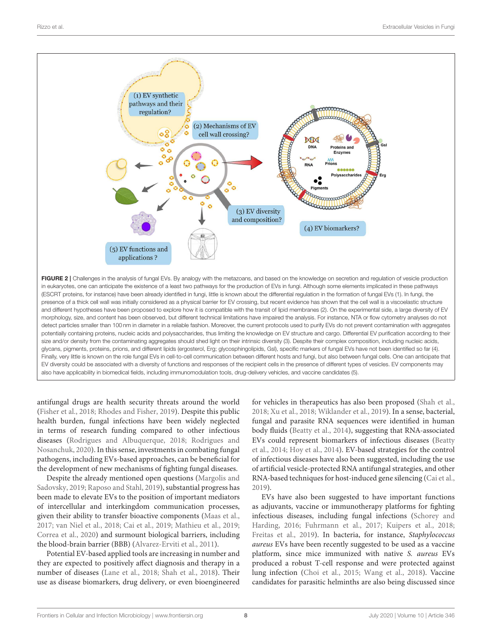

<span id="page-8-0"></span>antifungal drugs are health security threats around the world [\(Fisher et al., 2018;](#page-10-33) [Rhodes and Fisher, 2019\)](#page-11-31). Despite this public health burden, fungal infections have been widely neglected in terms of research funding compared to other infectious diseases [\(Rodrigues and Albuquerque, 2018;](#page-11-32) Rodrigues and Nosanchuk, [2020\)](#page-12-33). In this sense, investments in combating fungal pathogens, including EVs-based approaches, can be beneficial for the development of new mechanisms of fighting fungal diseases.

Despite the already mentioned open questions (Margolis and Sadovsky, [2019;](#page-11-25) [Raposo and Stahl, 2019\)](#page-11-26), substantial progress has been made to elevate EVs to the position of important mediators of intercellular and interkingdom communication processes, given their ability to transfer bioactive components [\(Maas et al.,](#page-11-0) [2017;](#page-11-0) [van Niel et al., 2018;](#page-12-0) [Cai et al., 2019;](#page-9-14) [Mathieu et al., 2019;](#page-11-2) [Correa et al., 2020\)](#page-10-34) and surmount biological barriers, including the blood-brain barrier (BBB) [\(Alvarez-Erviti et al., 2011\)](#page-9-17).

Potential EV-based applied tools are increasing in number and they are expected to positively affect diagnosis and therapy in a number of diseases [\(Lane et al., 2018;](#page-10-35) [Shah et al., 2018\)](#page-12-2). Their use as disease biomarkers, drug delivery, or even bioengineered for vehicles in therapeutics has also been proposed [\(Shah et al.,](#page-12-2) [2018;](#page-12-2) [Xu et al., 2018;](#page-12-3) [Wiklander et al., 2019\)](#page-12-34). In a sense, bacterial, fungal and parasite RNA sequences were identified in human body fluids [\(Beatty et al., 2014\)](#page-9-18), suggesting that RNA-associated EVs could represent biomarkers of infectious diseases (Beatty et al., [2014;](#page-9-18) [Hoy et al., 2014\)](#page-10-36). EV-based strategies for the control of infectious diseases have also been suggested, including the use of artificial vesicle-protected RNA antifungal strategies, and other RNA-based techniques for host-induced gene silencing [\(Cai et al.,](#page-9-14) [2019\)](#page-9-14).

EVs have also been suggested to have important functions as adjuvants, vaccine or immunotherapy platforms for fighting infectious diseases, including fungal infections (Schorey and Harding, [2016;](#page-12-35) [Fuhrmann et al., 2017;](#page-10-37) [Kuipers et al., 2018;](#page-10-38) [Freitas et al., 2019\)](#page-10-19). In bacteria, for instance, Staphylococcus aureus EVs have been recently suggested to be used as a vaccine platform, since mice immunized with native S. aureus EVs produced a robust T-cell response and were protected against lung infection [\(Choi et al., 2015;](#page-9-19) [Wang et al., 2018\)](#page-12-36). Vaccine candidates for parasitic helminths are also being discussed since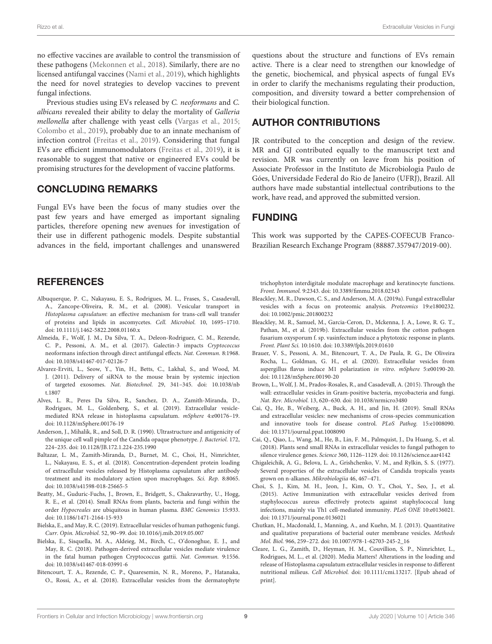no effective vaccines are available to control the transmission of these pathogens [\(Mekonnen et al., 2018\)](#page-11-33). Similarly, there are no licensed antifungal vaccines [\(Nami et al., 2019\)](#page-11-34), which highlights the need for novel strategies to develop vaccines to prevent fungal infections.

Previous studies using EVs released by C. neoformans and C. albicans revealed their ability to delay the mortality of Galleria mellonella after challenge with yeast cells [\(Vargas et al., 2015;](#page-12-8) [Colombo et al., 2019\)](#page-10-39), probably due to an innate mechanism of infection control [\(Freitas et al., 2019\)](#page-10-19). Considering that fungal EVs are efficient immunomodulators [\(Freitas et al., 2019\)](#page-10-19), it is reasonable to suggest that native or engineered EVs could be promising structures for the development of vaccine platforms.

#### CONCLUDING REMARKS

Fungal EVs have been the focus of many studies over the past few years and have emerged as important signaling particles, therefore opening new avenues for investigation of their use in different pathogenic models. Despite substantial advances in the field, important challenges and unanswered

#### **REFERENCES**

- <span id="page-9-3"></span>Albuquerque, P. C., Nakayasu, E. S., Rodrigues, M. L., Frases, S., Casadevall, A., Zancope-Oliveira, R. M., et al. (2008). Vesicular transport in Histoplasma capsulatum: an effective mechanism for trans-cell wall transfer of proteins and lipids in ascomycetes. Cell. Microbiol. 10, 1695–1710. doi: [10.1111/j.1462-5822.2008.01160.x](https://doi.org/10.1111/j.1462-5822.2008.01160.x)
- <span id="page-9-11"></span>Almeida, F., Wolf, J. M., Da Silva, T. A., Deleon-Rodriguez, C. M., Rezende, C. P., Pessoni, A. M., et al. (2017). Galectin-3 impacts Cryptococcus neoformans infection through direct antifungal effects. Nat. Commun. 8:1968. doi: [10.1038/s41467-017-02126-7](https://doi.org/10.1038/s41467-017-02126-7)
- <span id="page-9-17"></span>Alvarez-Erviti, L., Seow, Y., Yin, H., Betts, C., Lakhal, S., and Wood, M. J. (2011). Delivery of siRNA to the mouse brain by systemic injection of targeted exosomes. Nat. Biotechnol. [29, 341–345. doi: 10.1038/nb](https://doi.org/10.1038/nbt.1807) t.1807
- <span id="page-9-9"></span>Alves, L. R., Peres Da Silva, R., Sanchez, D. A., Zamith-Miranda, D., Rodrigues, M. L., Goldenberg, S., et al. (2019). Extracellular vesiclemediated RNA release in histoplasma capsulatum. mSphere 4:e00176–19. doi: [10.1128/mSphere.00176-19](https://doi.org/10.1128/mSphere.00176-19)
- <span id="page-9-2"></span>Anderson, J., Mihalik, R., and Soll, D. R. (1990). Ultrastructure and antigenicity of the unique cell wall pimple of the Candida opaque phenotype. J. Bacteriol. 172, 224–235. doi: [10.1128/JB.172.1.224-235.1990](https://doi.org/10.1128/JB.172.1.224-235.1990)
- <span id="page-9-10"></span>Baltazar, L. M., Zamith-Miranda, D., Burnet, M. C., Choi, H., Nimrichter, L., Nakayasu, E. S., et al. (2018). Concentration-dependent protein loading of extracellular vesicles released by Histoplasma capsulatum after antibody treatment and its modulatory action upon macrophages. Sci. Rep. 8:8065. doi: [10.1038/s41598-018-25665-5](https://doi.org/10.1038/s41598-018-25665-5)
- <span id="page-9-18"></span>Beatty, M., Guduric-Fuchs, J., Brown, E., Bridgett, S., Chakravarthy, U., Hogg, R. E., et al. (2014). Small RNAs from plants, bacteria and fungi within the order Hypocreales are ubiquitous in human plasma. BMC Genomics 15:933. doi: [10.1186/1471-2164-15-933](https://doi.org/10.1186/1471-2164-15-933)
- <span id="page-9-0"></span>Bielska, E., and May, R. C. (2019). Extracellular vesicles of human pathogenic fungi. Curr. Opin. Microbiol. 52, 90–99. doi: [10.1016/j.mib.2019.05.007](https://doi.org/10.1016/j.mib.2019.05.007)
- <span id="page-9-4"></span>Bielska, E., Sisquella, M. A., Aldeieg, M., Birch, C., O'donoghue, E. J., and May, R. C. (2018). Pathogen-derived extracellular vesicles mediate virulence in the fatal human pathogen Cryptococcus gattii. Nat. Commun. 9:1556. doi: [10.1038/s41467-018-03991-6](https://doi.org/10.1038/s41467-018-03991-6)
- <span id="page-9-6"></span>Bitencourt, T. A., Rezende, C. P., Quaresemin, N. R., Moreno, P., Hatanaka, O., Rossi, A., et al. (2018). Extracellular vesicles from the dermatophyte

questions about the structure and functions of EVs remain active. There is a clear need to strengthen our knowledge of the genetic, biochemical, and physical aspects of fungal EVs in order to clarify the mechanisms regulating their production, composition, and diversity toward a better comprehension of their biological function.

#### AUTHOR CONTRIBUTIONS

JR contributed to the conception and design of the review. MR and GJ contributed equally to the manuscript text and revision. MR was currently on leave from his position of Associate Professor in the Instituto de Microbiologia Paulo de Góes, Universidade Federal do Rio de Janeiro (UFRJ), Brazil. All authors have made substantial intellectual contributions to the work, have read, and approved the submitted version.

#### FUNDING

This work was supported by the CAPES-COFECUB Franco-Brazilian Research Exchange Program (88887.357947/2019-00).

trichophyton interdigitale modulate macrophage and keratinocyte functions. Front. Immunol. 9:2343. doi: [10.3389/fimmu.2018.02343](https://doi.org/10.3389/fimmu.2018.02343)

- <span id="page-9-8"></span>Bleackley, M. R., Dawson, C. S., and Anderson, M. A. (2019a). Fungal extracellular vesicles with a focus on proteomic analysis. Proteomics 19:e1800232. doi: [10.1002/pmic.201800232](https://doi.org/10.1002/pmic.201800232)
- <span id="page-9-5"></span>Bleackley, M. R., Samuel, M., Garcia-Ceron, D., Mckenna, J. A., Lowe, R. G. T., Pathan, M., et al. (2019b). Extracellular vesicles from the cotton pathogen fusarium oxysporum f. sp. vasinfectum induce a phytotoxic response in plants. Front. Plant Sci. 10:1610. doi: [10.3389/fpls.2019.01610](https://doi.org/10.3389/fpls.2019.01610)
- <span id="page-9-7"></span>Brauer, V. S., Pessoni, A. M., Bitencourt, T. A., De Paula, R. G., De Oliveira Rocha, L., Goldman, G. H., et al. (2020). Extracellular vesicles from aspergillus flavus induce M1 polarization in vitro. mSphere 5:e00190-20. doi: [10.1128/mSphere.00190-20](https://doi.org/10.1128/mSphere.00190-20)
- <span id="page-9-12"></span>Brown, L., Wolf, J. M., Prados-Rosales, R., and Casadevall, A. (2015). Through the wall: extracellular vesicles in Gram-positive bacteria, mycobacteria and fungi. Nat. Rev. Microbiol. 13, 620–630. doi: [10.1038/nrmicro3480](https://doi.org/10.1038/nrmicro3480)
- <span id="page-9-14"></span>Cai, Q., He, B., Weiberg, A., Buck, A. H., and Jin, H. (2019). Small RNAs and extracellular vesicles: new mechanisms of cross-species communication and innovative tools for disease control. PLoS Pathog. 15:e1008090. doi: [10.1371/journal.ppat.1008090](https://doi.org/10.1371/journal.ppat.1008090)
- <span id="page-9-13"></span>Cai, Q., Qiao, L., Wang, M., He, B., Lin, F. M., Palmquist, J., Da Huang, S., et al. (2018). Plants send small RNAs in extracellular vesicles to fungal pathogen to silence virulence genes. Science 360, 1126–1129. doi: [10.1126/science.aar4142](https://doi.org/10.1126/science.aar4142)
- <span id="page-9-1"></span>Chigaleichik, A. G., Belova, L. A., Grishchenko, V. M., and Rylkin, S. S. (1977). Several properties of the extracellular vesicles of Candida tropicalis yeasts grown on n-alkanes. Mikrobiologiia 46, 467–471.
- <span id="page-9-19"></span>Choi, S. J., Kim, M. H., Jeon, J., Kim, O. Y., Choi, Y., Seo, J., et al. (2015). Active Immunization with extracellular vesicles derived from staphylococcus aureus effectively protects against staphylococcal lung infections, mainly via Th1 cell-mediated immunity. PLoS ONE 10:e0136021. doi: [10.1371/journal.pone.0136021](https://doi.org/10.1371/journal.pone.0136021)
- <span id="page-9-15"></span>Chutkan, H., Macdonald, I., Manning, A., and Kuehn, M. J. (2013). Quantitative and qualitative preparations of bacterial outer membrane vesicles. Methods Mol. Biol. 966, 259–272. doi: [10.1007/978-1-62703-245-2\\_16](https://doi.org/10.1007/978-1-62703-245-2_16)
- <span id="page-9-16"></span>Cleare, L. G., Zamith, D., Heyman, H. M., Couvillion, S. P., Nimrichter, L., Rodrigues, M. L., et al. (2020). Media Matters! Alterations in the loading and release of Histoplasma capsulatum extracellular vesicles in response to different nutritional milieus. Cell Microbiol. doi: [10.1111/cmi.13217.](https://doi.org/10.1111/cmi.13217) [Epub ahead of print].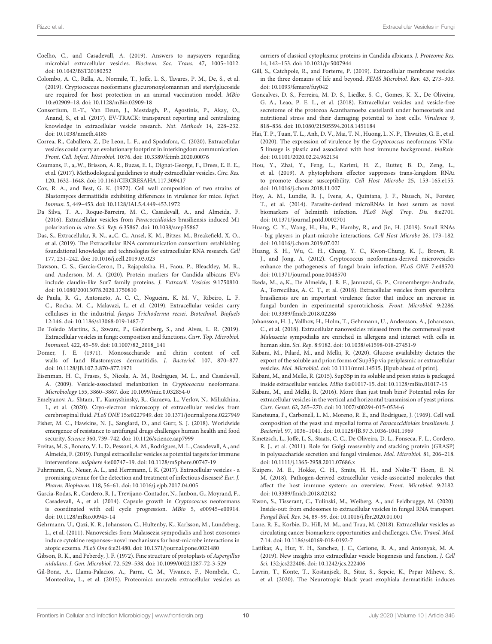- <span id="page-10-13"></span>Coelho, C., and Casadevall, A. (2019). Answers to naysayers regarding microbial extracellular vesicles. Biochem. Soc. Trans. 47, 1005–1012. doi: [10.1042/BST20180252](https://doi.org/10.1042/BST20180252)
- <span id="page-10-39"></span>Colombo, A. C., Rella, A., Normile, T., Joffe, L. S., Tavares, P. M., De, S., et al. (2019). Cryptococcus neoformans glucuronoxylomannan and sterylglucoside are required for host protection in an animal vaccination model. MBio 10:e02909–18. doi: [10.1128/mBio.02909-18](https://doi.org/10.1128/mBio.02909-18)
- <span id="page-10-27"></span>Consortium, E.-T., Van Deun, J., Mestdagh, P., Agostinis, P., Akay, O., Anand, S., et al. (2017). EV-TRACK: transparent reporting and centralizing knowledge in extracellular vesicle research. Nat. Methods 14, 228–232. doi: [10.1038/nmeth.4185](https://doi.org/10.1038/nmeth.4185)
- <span id="page-10-34"></span>Correa, R., Caballero, Z., De Leon, L. F., and Spadafora, C. (2020). Extracellular vesicles could carry an evolutionary footprint in interkingdom communication. Front. Cell. Infect. Microbiol. 10:76. doi: [10.3389/fcimb.2020.00076](https://doi.org/10.3389/fcimb.2020.00076)
- <span id="page-10-32"></span>Coumans, F., a,.W., Brisson, A. R., Buzas, E. I., Dignat-George, F., Drees, E. E. E., et al. (2017). Methodological guidelines to study extracellular vesicles. Circ. Res. 120, 1632–1648. doi: [10.1161/CIRCRESAHA.117.309417](https://doi.org/10.1161/CIRCRESAHA.117.309417)
- <span id="page-10-16"></span>Cox, R. A., and Best, G. K. (1972). Cell wall composition of two strains of Blastomyces dermatitidis exhibiting differences in virulence for mice. Infect. Immun. 5, 449–453. doi: [10.1128/IAI.5.4.449-453.1972](https://doi.org/10.1128/IAI.5.4.449-453.1972)
- <span id="page-10-21"></span>Da Silva, T. A., Roque-Barreira, M. C., Casadevall, A., and Almeida, F. (2016). Extracellular vesicles from Paracoccidioides brasiliensis induced M1 polarization in vitro. Sci. Rep. 6:35867. doi: [10.1038/srep35867](https://doi.org/10.1038/srep35867)
- <span id="page-10-28"></span>Das, S., Extracellular, R. N., a,.C. C., Ansel, K. M., Bitzer, M., Breakefield, X. O., et al. (2019). The Extracellular RNA communication consortium: establishing foundational knowledge and technologies for extracellular RNA research. Cell 177, 231–242. doi: [10.1016/j.cell.2019.03.023](https://doi.org/10.1016/j.cell.2019.03.023)
- <span id="page-10-30"></span>Dawson, C. S., Garcia-Ceron, D., Rajapaksha, H., Faou, P., Bleackley, M. R., and Anderson, M. A. (2020). Protein markers for Candida albicans EVs include claudin-like Sur7 family proteins. J. Extracell. Vesicles 9:1750810. doi: [10.1080/20013078.2020.1750810](https://doi.org/10.1080/20013078.2020.1750810)
- <span id="page-10-6"></span>de Paula, R. G., Antonieto, A. C. C., Nogueira, K. M. V., Ribeiro, L. F. C., Rocha, M. C., Malavazi, I., et al. (2019). Extracellular vesicles carry cellulases in the industrial fungus Trichoderma reesei. Biotechnol. Biofuels 12:146. doi: [10.1186/s13068-019-1487-7](https://doi.org/10.1186/s13068-019-1487-7)
- <span id="page-10-7"></span>De Toledo Martins, S., Szwarc, P., Goldenberg, S., and Alves, L. R. (2019). Extracellular vesicles in fungi: composition and functions. Curr. Top. Microbiol. Immunol. 422, 45–59. doi: [10.1007/82\\_2018\\_141](https://doi.org/10.1007/82_2018_141)
- <span id="page-10-15"></span>Domer, J. E. (1971). Monosaccharide and chitin content of cell walls of Iand Blastomyces dermatitidis. J. Bacteriol. 107, 870–877. doi: [10.1128/JB.107.3.870-877.1971](https://doi.org/10.1128/JB.107.3.870-877.1971)
- <span id="page-10-8"></span>Eisenman, H. C., Frases, S., Nicola, A. M., Rodrigues, M. L., and Casadevall, A. (2009). Vesicle-associated melanization in Cryptococcus neoformans. Microbiology 155, 3860–3867. doi: [10.1099/mic.0.032854-0](https://doi.org/10.1099/mic.0.032854-0)
- <span id="page-10-29"></span>Emelyanov, A., Shtam, T., Kamyshinsky, R., Garaeva, L., Verlov, N., Miliukhina, I., et al. (2020). Cryo-electron microscopy of extracellular vesicles from cerebrospinal fluid. PLoS ONE 15:e0227949. doi: [10.1371/journal.pone.0227949](https://doi.org/10.1371/journal.pone.0227949)
- <span id="page-10-33"></span>Fisher, M. C., Hawkins, N. J., Sanglard, D., and Gurr, S. J. (2018). Worldwide emergence of resistance to antifungal drugs challenges human health and food security. Science 360, 739–742. doi: [10.1126/science.aap7999](https://doi.org/10.1126/science.aap7999)
- <span id="page-10-19"></span>Freitas, M. S., Bonato, V. L. D., Pessoni, A. M., Rodrigues, M. L., Casadevall, A., and Almeida, F. (2019). Fungal extracellular vesicles as potential targets for immune interventions. mSphere 4:e00747–19. doi: [10.1128/mSphere.00747-19](https://doi.org/10.1128/mSphere.00747-19)
- <span id="page-10-37"></span>Fuhrmann, G., Neuer, A. L., and Herrmann, I. K. (2017). Extracellular vesicles - a promising avenue for the detection and treatment of infectious diseases? Eur. J. Pharm. Biopharm. 118, 56–61. doi: [10.1016/j.ejpb.2017.04.005](https://doi.org/10.1016/j.ejpb.2017.04.005)
- <span id="page-10-12"></span>Garcia-Rodas, R., Cordero, R. J., Trevijano-Contador, N., Janbon, G., Moyrand, F., Casadevall, A., et al. (2014). Capsule growth in Cryptococcus neoformans is coordinated with cell cycle progression. MBio 5, e00945–e00914. doi: [10.1128/mBio.00945-14](https://doi.org/10.1128/mBio.00945-14)
- <span id="page-10-3"></span>Gehrmann, U., Qazi, K. R., Johansson, C., Hultenby, K., Karlsson, M., Lundeberg, L., et al. (2011). Nanovesicles from Malassezia sympodialis and host exosomes induce cytokine responses–novel mechanisms for host-microbe interactions in atopic eczema. PLoS One 6:e21480. doi: [10.1371/journal.pone.0021480](https://doi.org/10.1371/journal.pone.0021480)
- <span id="page-10-2"></span>Gibson, R. K., and Peberdy, J. F. (1972). Fine structure of protoplasts of Aspergillus nidulans. J. Gen. Microbiol. 72, 529–538. doi: [10.1099/00221287-72-3-529](https://doi.org/10.1099/00221287-72-3-529)
- <span id="page-10-9"></span>Gil-Bona, A., Llama-Palacios, A., Parra, C. M., Vivanco, F., Nombela, C., Monteoliva, L., et al. (2015). Proteomics unravels extracellular vesicles as

carriers of classical cytoplasmic proteins in Candida albicans. J. Proteome Res. 14, 142–153. doi: [10.1021/pr5007944](https://doi.org/10.1021/pr5007944)

- <span id="page-10-0"></span>Gill, S., Catchpole, R., and Forterre, P. (2019). Extracellular membrane vesicles in the three domains of life and beyond. FEMS Microbiol. Rev. 43, 273–303. doi: [10.1093/femsre/fuy042](https://doi.org/10.1093/femsre/fuy042)
- <span id="page-10-23"></span>Goncalves, D. S., Ferreira, M. D. S., Liedke, S. C., Gomes, K. X., De Oliveira, G. A., Leao, P. E. L., et al. (2018). Extracellular vesicles and vesicle-free secretome of the protozoa Acanthamoeba castellanii under homeostasis and nutritional stress and their damaging potential to host cells. Virulence 9, 818–836. doi: [10.1080/21505594.2018.1451184](https://doi.org/10.1080/21505594.2018.1451184)
- <span id="page-10-17"></span>Hai, T. P., Tuan, T. L., Anh, D. V., Mai, T. N., Huong, L. N. P., Thwaites, G. E., et al. (2020). The expression of virulence by the Cryptococcus neoformans VNIa-5 lineage is plastic and associated with host immune background. bioRxiv. doi: [10.1101/2020.02.24.962134](https://doi.org/10.1101/2020.02.24.962134)
- <span id="page-10-24"></span>Hou, Y., Zhai, Y., Feng, L., Karimi, H. Z., Rutter, B. D., Zeng, L., et al. (2019). A phytophthora effector suppresses trans-kingdom RNAi to promote disease susceptibility. Cell Host Microbe 25, 153–165.e155. doi: [10.1016/j.chom.2018.11.007](https://doi.org/10.1016/j.chom.2018.11.007)
- <span id="page-10-36"></span>Hoy, A. M., Lundie, R. J., Ivens, A., Quintana, J. F., Nausch, N., Forster, T., et al. (2014). Parasite-derived microRNAs in host serum as novel biomarkers of helminth infection. PLoS Negl. Trop. Dis. 8:e2701. doi: [10.1371/journal.pntd.0002701](https://doi.org/10.1371/journal.pntd.0002701)
- <span id="page-10-25"></span>Huang, C. Y., Wang, H., Hu, P., Hamby, R., and Jin, H. (2019). Small RNAs - big players in plant-microbe interactions. Cell Host Microbe 26, 173–182. doi: [10.1016/j.chom.2019.07.021](https://doi.org/10.1016/j.chom.2019.07.021)
- <span id="page-10-20"></span>Huang, S. H., Wu, C. H., Chang, Y. C., Kwon-Chung, K. J., Brown, R. J., and Jong, A. (2012). Cryptococcus neoformans-derived microvesicles enhance the pathogenesis of fungal brain infection. PLoS ONE 7:e48570. doi: [10.1371/journal.pone.0048570](https://doi.org/10.1371/journal.pone.0048570)
- <span id="page-10-4"></span>Ikeda, M., a,.K., De Almeida, J. R. F., Jannuzzi, G. P., Cronemberger-Andrade, A., Torrecilhas, A. C. T., et al. (2018). Extracellular vesicles from sporothrix brasiliensis are an important virulence factor that induce an increase in fungal burden in experimental sporotrichosis. Front. Microbiol. 9:2286. doi: [10.3389/fmicb.2018.02286](https://doi.org/10.3389/fmicb.2018.02286)
- <span id="page-10-22"></span>Johansson, H. J., Vallhov, H., Holm, T., Gehrmann, U., Andersson, A., Johansson, C., et al. (2018). Extracellular nanovesicles released from the commensal yeast Malassezia sympodialis are enriched in allergens and interact with cells in human skin. Sci. Rep. 8:9182. doi: [10.1038/s41598-018-27451-9](https://doi.org/10.1038/s41598-018-27451-9)
- <span id="page-10-31"></span>Kabani, M., Pilard, M., and Melki, R. (2020). Glucose availability dictates the export of the soluble and prion forms of Sup35p via periplasmic or extracellular vesicles. Mol. Microbiol. doi: [10.1111/mmi.14515.](https://doi.org/10.1111/mmi.14515) [Epub ahead of print].
- <span id="page-10-10"></span>Kabani, M., and Melki, R. (2015). Sup35p in its soluble and prion states is packaged inside extracellular vesicles. MBio 6:e01017-15. doi: [10.1128/mBio.01017-15](https://doi.org/10.1128/mBio.01017-15)
- <span id="page-10-18"></span>Kabani, M., and Melki, R. (2016). More than just trash bins? Potential roles for extracellular vesicles in the vertical and horizontal transmission of yeast prions. Curr. Genet. 62, 265–270. doi: [10.1007/s00294-015-0534-6](https://doi.org/10.1007/s00294-015-0534-6)
- <span id="page-10-14"></span>Kanetsuna, F., Carbonell, L. M., Moreno, R. E., and Rodriguez, J. (1969). Cell wall composition of the yeast and mycelial forms of Paracoccidioides brasiliensis. J. Bacteriol. 97, 1036–1041. doi: [10.1128/JB.97.3.1036-1041.1969](https://doi.org/10.1128/JB.97.3.1036-1041.1969)
- <span id="page-10-11"></span>Kmetzsch, L., Joffe, L. S., Staats, C. C., De Oliveira, D. L., Fonseca, F. L., Cordero, R. J., et al. (2011). Role for Golgi reassembly and stacking protein (GRASP) in polysaccharide secretion and fungal virulence. Mol. Microbiol. 81, 206–218. doi: [10.1111/j.1365-2958.2011.07686.x](https://doi.org/10.1111/j.1365-2958.2011.07686.x)
- <span id="page-10-38"></span>Kuipers, M. E., Hokke, C. H., Smits, H. H., and Nolte-'T Hoen, E. N. M. (2018). Pathogen-derived extracellular vesicle-associated molecules that affect the host immune system: an overview. Front. Microbiol. 9:2182. doi: [10.3389/fmicb.2018.02182](https://doi.org/10.3389/fmicb.2018.02182)
- <span id="page-10-26"></span>Kwon, S., Tisserant, C., Tulinski, M., Weiberg, A., and Feldbrugge, M. (2020). Inside-out: from endosomes to extracellular vesicles in fungal RNA transport. Fungal Biol. Rev. 34, 89–99. doi: [10.1016/j.fbr.2020.01.001](https://doi.org/10.1016/j.fbr.2020.01.001)
- <span id="page-10-35"></span>Lane, R. E., Korbie, D., Hill, M. M., and Trau, M. (2018). Extracellular vesicles as circulating cancer biomarkers: opportunities and challenges. Clin. Transl. Med. 7:14. doi: [10.1186/s40169-018-0192-7](https://doi.org/10.1186/s40169-018-0192-7)
- <span id="page-10-1"></span>Latifkar, A., Hur, Y. H., Sanchez, J. C., Cerione, R. A., and Antonyak, M. A. (2019). New insights into extracellular vesicle biogenesis and function. J. Cell Sci. 132:jcs222406. doi: [10.1242/jcs.222406](https://doi.org/10.1242/jcs.222406)
- <span id="page-10-5"></span>Lavrin, T., Konte, T., Kostanjsek, R., Sitar, S., Sepcic, K., Prpar Mihevc, S., et al. (2020). The Neurotropic black yeast exophiala dermatitidis induces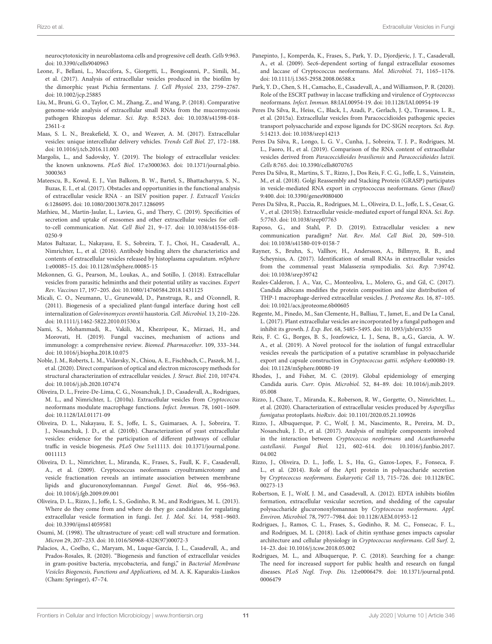neurocytotoxicity in neuroblastoma cells and progressive cell death. Cells 9:963. doi: [10.3390/cells9040963](https://doi.org/10.3390/cells9040963)

- <span id="page-11-4"></span>Leone, F., Bellani, L., Muccifora, S., Giorgetti, L., Bongioanni, P., Simili, M., et al. (2017). Analysis of extracellular vesicles produced in the biofilm by the dimorphic yeast Pichia fermentans. J. Cell Physiol. 233, 2759–2767. doi: [10.1002/jcp.25885](https://doi.org/10.1002/jcp.25885)
- <span id="page-11-6"></span>Liu, M., Bruni, G. O., Taylor, C. M., Zhang, Z., and Wang, P. (2018). Comparative genome-wide analysis of extracellular small RNAs from the mucormycosis pathogen Rhizopus delemar. Sci. Rep. [8:5243. doi: 10.1038/s41598-018-](https://doi.org/10.1038/s41598-018-23611-z) 23611-z
- <span id="page-11-0"></span>Maas, S. L. N., Breakefield, X. O., and Weaver, A. M. (2017). Extracellular vesicles: unique intercellular delivery vehicles. Trends Cell Biol. 27, 172–188. doi: [10.1016/j.tcb.2016.11.003](https://doi.org/10.1016/j.tcb.2016.11.003)
- <span id="page-11-25"></span>Margolis, L., and Sadovsky, Y. (2019). The biology of extracellular vesicles: the known unknowns. PLoS Biol. [17:e3000363. doi: 10.1371/journal.pbio.](https://doi.org/10.1371/journal.pbio.3000363) 3000363
- <span id="page-11-27"></span>Mateescu, B., Kowal, E. J., Van Balkom, B. W., Bartel, S., Bhattacharyya, S. N., Buzas, E. I., et al. (2017). Obstacles and opportunities in the functional analysis of extracellular vesicle RNA - an ISEV position paper. J. Extracell Vesicles 6:1286095. doi: [10.1080/20013078.2017.1286095](https://doi.org/10.1080/20013078.2017.1286095)
- <span id="page-11-2"></span>Mathieu, M., Martin-Jaular, L., Lavieu, G., and Thery, C. (2019). Specificities of secretion and uptake of exosomes and other extracellular vesicles for cellto-cell communication. Nat. Cell Biol [21, 9–17. doi: 10.1038/s41556-018-](https://doi.org/10.1038/s41556-018-0250-9) 0250-9
- <span id="page-11-17"></span>Matos Baltazar, L., Nakayasu, E. S., Sobreira, T. J., Choi, H., Casadevall, A., Nimrichter, L., et al. (2016). Antibody binding alters the characteristics and contents of extracellular vesicles released by histoplasma capsulatum. mSphere 1:e00085–15. doi: [10.1128/mSphere.00085-15](https://doi.org/10.1128/mSphere.00085-15)
- <span id="page-11-33"></span>Mekonnen, G. G., Pearson, M., Loukas, A., and Sotillo, J. (2018). Extracellular vesicles from parasitic helminths and their potential utility as vaccines. Expert Rev. Vaccines 17, 197–205. doi: [10.1080/14760584.2018.1431125](https://doi.org/10.1080/14760584.2018.1431125)
- <span id="page-11-24"></span>Micali, C. O., Neumann, U., Grunewald, D., Panstruga, R., and O'connell, R. (2011). Biogenesis of a specialized plant-fungal interface during host cell internalization of Golovinomyces orontii haustoria. Cell. Microbiol. 13, 210–226. doi: [10.1111/j.1462-5822.2010.01530.x](https://doi.org/10.1111/j.1462-5822.2010.01530.x)
- <span id="page-11-34"></span>Nami, S., Mohammadi, R., Vakili, M., Khezripour, K., Mirzaei, H., and Morovati, H. (2019). Fungal vaccines, mechanism of actions and immunology: a comprehensive review. Biomed. Pharmacother. 109, 333–344. doi: [10.1016/j.biopha.2018.10.075](https://doi.org/10.1016/j.biopha.2018.10.075)
- <span id="page-11-30"></span>Noble, J. M., Roberts, L. M., Vidavsky, N., Chiou, A. E., Fischbach, C., Paszek, M. J., et al. (2020). Direct comparison of optical and electron microscopy methods for structural characterization of extracellular vesicles. J. Struct. Biol. 210, 107474. doi: [10.1016/j.jsb.2020.107474](https://doi.org/10.1016/j.jsb.2020.107474)
- <span id="page-11-20"></span>Oliveira, D. L., Freire-De-Lima, C. G., Nosanchuk, J. D., Casadevall, A., Rodrigues, M. L., and Nimrichter, L. (2010a). Extracellular vesicles from Cryptococcus neoformans modulate macrophage functions. Infect. Immun. 78, 1601–1609. doi: [10.1128/IAI.01171-09](https://doi.org/10.1128/IAI.01171-09)
- <span id="page-11-11"></span>Oliveira, D. L., Nakayasu, E. S., Joffe, L. S., Guimaraes, A. J., Sobreira, T. J., Nosanchuk, J. D., et al. (2010b). Characterization of yeast extracellular vesicles: evidence for the participation of different pathways of cellular traffic in vesicle biogenesis. PLoS One [5:e11113. doi: 10.1371/journal.pone.](https://doi.org/10.1371/journal.pone.0011113) 0011113
- <span id="page-11-28"></span>Oliveira, D. L., Nimrichter, L., Miranda, K., Frases, S., Faull, K. F., Casadevall, A., et al. (2009). Cryptococcus neoformans cryoultramicrotomy and vesicle fractionation reveals an intimate association between membrane lipids and glucuronoxylomannan. Fungal Genet. Biol. 46, 956–963. doi: [10.1016/j.fgb.2009.09.001](https://doi.org/10.1016/j.fgb.2009.09.001)
- <span id="page-11-9"></span>Oliveira, D. L., Rizzo, J., Joffe, L. S., Godinho, R. M., and Rodrigues, M. L. (2013). Where do they come from and where do they go: candidates for regulating extracellular vesicle formation in fungi. Int. J. Mol. Sci. 14, 9581–9603. doi: [10.3390/ijms14059581](https://doi.org/10.3390/ijms14059581)
- <span id="page-11-3"></span>Osumi, M. (1998). The ultrastructure of yeast: cell wall structure and formation. Micron 29, 207–233. doi: [10.1016/S0968-4328\(97\)00072-3](https://doi.org/10.1016/S0968-4328(97)00072-3)
- <span id="page-11-1"></span>Palacios, A., Coelho, C., Maryam, M., Luque-García, J. L., Casadevall, A., and Prados-Rosales, R. (2020). "Biogenesis and function of extracellular vesicles in gram-positive bacteria, mycobacteria, and fungi," in Bacterial Membrane Vesicles Biogenesis, Functions and Applications, ed M. A. K. Kaparakis-Liaskos (Cham: Springer), 47–74.
- <span id="page-11-10"></span>Panepinto, J., Komperda, K., Frases, S., Park, Y. D., Djordjevic, J. T., Casadevall, A., et al. (2009). Sec6-dependent sorting of fungal extracellular exosomes and laccase of Cryptococcus neoformans. Mol. Microbiol. 71, 1165–1176. doi: [10.1111/j.1365-2958.2008.06588.x](https://doi.org/10.1111/j.1365-2958.2008.06588.x)
- <span id="page-11-13"></span>Park, Y. D., Chen, S. H., Camacho, E., Casadevall, A., and Williamson, P. R. (2020). Role of the ESCRT pathway in laccase trafficking and virulence of Cryptococcus neoformans. Infect. Immun. 88:IAI.00954-19. doi: [10.1128/IAI.00954-19](https://doi.org/10.1128/IAI.00954-19)
- <span id="page-11-21"></span>Peres Da Silva, R., Heiss, C., Black, I., Azadi, P., Gerlach, J. Q., Travassos, L. R., et al. (2015a). Extracellular vesicles from Paracoccidioides pathogenic species transport polysaccharide and expose ligands for DC-SIGN receptors. Sci. Rep. 5:14213. doi: [10.1038/srep14213](https://doi.org/10.1038/srep14213)
- <span id="page-11-5"></span>Peres Da Silva, R., Longo, L. G. V., Cunha, J., Sobreira, T. J. P., Rodrigues, M. L., Faoro, H., et al. (2019). Comparison of the RNA content of extracellular vesicles derived from Paracoccidioides brasiliensis and Paracoccidioides lutzii. Cells 8:765. doi: [10.3390/cells8070765](https://doi.org/10.3390/cells8070765)
- <span id="page-11-12"></span>Peres Da Silva, R., Martins, S. T., Rizzo, J., Dos Reis, F. C. G., Joffe, L. S., Vainstein, M., et al. (2018). Golgi Reassembly and Stacking Protein (GRASP) participates in vesicle-mediated RNA export in cryptococcus neoformans. Genes (Basel) 9:400. doi: [10.3390/genes9080400](https://doi.org/10.3390/genes9080400)
- <span id="page-11-8"></span>Peres Da Silva, R., Puccia, R., Rodrigues, M. L., Oliveira, D. L., Joffe, L. S., Cesar, G. V., et al. (2015b). Extracellular vesicle-mediated export of fungal RNA. Sci. Rep. 5:7763. doi: [10.1038/srep07763](https://doi.org/10.1038/srep07763)
- <span id="page-11-26"></span>Raposo, G., and Stahl, P. D. (2019). Extracellular vesicles: a new communication paradigm? Nat. Rev. Mol. Cell Biol. 20, 509–510. doi: [10.1038/s41580-019-0158-7](https://doi.org/10.1038/s41580-019-0158-7)
- <span id="page-11-29"></span>Rayner, S., Bruhn, S., Vallhov, H., Andersson, A., Billmyre, R. B., and Scheynius, A. (2017). Identification of small RNAs in extracellular vesicles from the commensal yeast Malassezia sympodialis. Sci. Rep. 7:39742. doi: [10.1038/srep39742](https://doi.org/10.1038/srep39742)
- <span id="page-11-22"></span>Reales-Calderon, J. A., Vaz, C., Monteoliva, L., Molero, G., and Gil, C. (2017). Candida albicans modifies the protein composition and size distribution of THP-1 macrophage-derived extracellular vesicles. J. Proteome Res. 16, 87–105. doi: [10.1021/acs.jproteome.6b00605](https://doi.org/10.1021/acs.jproteome.6b00605)
- <span id="page-11-19"></span>Regente, M., Pinedo, M., San Clemente, H., Balliau, T., Jamet, E., and De La Canal, L. (2017). Plant extracellular vesicles are incorporated by a fungal pathogen and inhibit its growth. J. Exp. Bot. 68, 5485–5495. doi: [10.1093/jxb/erx355](https://doi.org/10.1093/jxb/erx355)
- <span id="page-11-15"></span>Reis, F. C. G., Borges, B. S., Jozefowicz, L. J., Sena, B., a,.G., Garcia, A. W. A., et al. (2019). A Novel protocol for the isolation of fungal extracellular vesicles reveals the participation of a putative scramblase in polysaccharide export and capsule construction in Cryptococcus gattii. mSphere 4:e00080-19. doi: [10.1128/mSphere.00080-19](https://doi.org/10.1128/mSphere.00080-19)
- <span id="page-11-31"></span>Rhodes, J., and Fisher, M. C. (2019). Global epidemiology of emerging Candida auris. Curr. Opin. Microbiol. [52, 84–89. doi: 10.1016/j.mib.2019.](https://doi.org/10.1016/j.mib.2019.05.008) 05.008
- <span id="page-11-7"></span>Rizzo, J., Chaze, T., Miranda, K., Roberson, R. W., Gorgette, O., Nimrichter, L., et al. (2020). Characterization of extracellular vesicles produced by Aspergillus fumigatus protoplasts. bioRxiv. doi: [10.1101/2020.05.21.109926](https://doi.org/10.1101/2020.05.21.109926)
- <span id="page-11-23"></span>Rizzo, J., Albuquerque, P. C., Wolf, J. M., Nascimento, R., Pereira, M. D., Nosanchuk, J. D., et al. (2017). Analysis of multiple components involved in the interaction between Cryptococcus neoformans and Acanthamoeba castellanii. Fungal Biol. [121, 602–614. doi: 10.1016/j.funbio.2017.](https://doi.org/10.1016/j.funbio.2017.04.002) 04.002
- <span id="page-11-14"></span>Rizzo, J., Oliveira, D. L., Joffe, L. S., Hu, G., Gazos-Lopes, F., Fonseca, F. L., et al. (2014). Role of the Apt1 protein in polysaccharide secretion by Cryptococcus neoformans. Eukaryotic Cell [13, 715–726. doi: 10.1128/EC.](https://doi.org/10.1128/EC.00273-13) 00273-13
- <span id="page-11-18"></span>Robertson, E. J., Wolf, J. M., and Casadevall, A. (2012). EDTA inhibits biofilm formation, extracellular vesicular secretion, and shedding of the capsular polysaccharide glucuronoxylomannan by Cryptococcus neoformans. Appl. Environ. Microbiol. 78, 7977–7984. doi: [10.1128/AEM.01953-12](https://doi.org/10.1128/AEM.01953-12)
- <span id="page-11-16"></span>Rodrigues, J., Ramos, C. L., Frases, S., Godinho, R. M. C., Fonsecac, F. L., and Rodrigues, M. L. (2018). Lack of chitin synthase genes impacts capsular architecture and cellular physiology in Cryptococcus neoformans. Cell Surf. 2, 14–23. doi: [10.1016/j.tcsw.2018.05.002](https://doi.org/10.1016/j.tcsw.2018.05.002)
- <span id="page-11-32"></span>Rodrigues, M. L., and Albuquerque, P. C. (2018). Searching for a change: The need for increased support for public health and research on fungal diseases. PLoS Negl. Trop. Dis. [12:e0006479. doi: 10.1371/journal.pntd.](https://doi.org/10.1371/journal.pntd.0006479) 0006479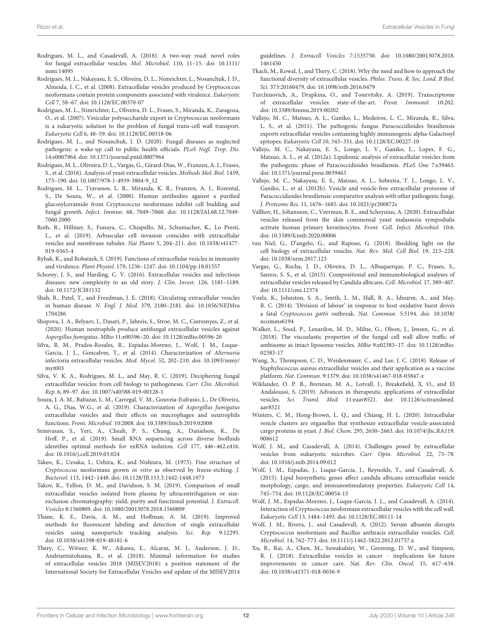- <span id="page-12-22"></span>Rodrigues, M. L., and Casadevall, A. (2018). A two-way road: novel roles [for fungal extracellular vesicles.](https://doi.org/10.1111/mmi.14095) Mol. Microbiol. 110, 11–15. doi: 10.1111/ mmi.14095
- <span id="page-12-11"></span>Rodrigues, M. L., Nakayasu, E. S., Oliveira, D. L., Nimrichter, L., Nosanchuk, J. D., Almeida, I. C., et al. (2008). Extracellular vesicles produced by Cryptococcus neoformans contain protein components associated with virulence. Eukaryotic Cell 7, 58–67. doi: [10.1128/EC.00370-07](https://doi.org/10.1128/EC.00370-07)
- <span id="page-12-4"></span>Rodrigues, M. L., Nimrichter, L., Oliveira, D. L., Frases, S., Miranda, K., Zaragoza, O., et al. (2007). Vesicular polysaccharide export in Cryptococcus neoformans is a eukaryotic solution to the problem of fungal trans-cell wall transport. Eukaryotic Cell 6, 48–59. doi: [10.1128/EC.00318-06](https://doi.org/10.1128/EC.00318-06)
- <span id="page-12-33"></span>Rodrigues, M. L., and Nosanchuk, J. D. (2020). Fungal diseases as neglected pathogens: a wake-up call to public health officials. PLoS Negl. Trop. Dis. 14:e0007964. doi: [10.1371/journal.pntd.0007964](https://doi.org/10.1371/journal.pntd.0007964)
- <span id="page-12-27"></span>Rodrigues, M. L., Oliveira, D. L., Vargas, G., Girard-Dias, W., Franzen, A. J., Frases, S., et al. (2016). Analysis of yeast extracellular vesicles. Methods Mol. Biol. 1459, 175–190. doi: [10.1007/978-1-4939-3804-9\\_12](https://doi.org/10.1007/978-1-4939-3804-9_12)
- <span id="page-12-6"></span>Rodrigues, M. L., Travassos, L. R., Miranda, K. R., Franzen, A. J., Rozental, S., De Souza, W., et al. (2000). Human antibodies against a purified glucosylceramide from Cryptococcus neoformans inhibit cell budding and fungal growth. Infect. Immun. [68, 7049–7060. doi: 10.1128/IAI.68.12.7049-](https://doi.org/10.1128/IAI.68.12.7049-7060.2000) 7060.2000
- <span id="page-12-25"></span>Roth, R., Hillmer, S., Funaya, C., Chiapello, M., Schumacher, K., Lo Presti, L., et al. (2019). Arbuscular cell invasion coincides with extracellular vesicles and membrane tubules. Nat Plants [5, 204–211. doi: 10.1038/s41477-](https://doi.org/10.1038/s41477-019-0365-4) 019-0365-4
- <span id="page-12-1"></span>Rybak, K., and Robatzek, S. (2019). Functions of extracellular vesicles in immunity and virulence. Plant Physiol. 179, 1236–1247. doi: [10.1104/pp.18.01557](https://doi.org/10.1104/pp.18.01557)
- <span id="page-12-35"></span>Schorey, J. S., and Harding, C. V. (2016). Extracellular vesicles and infectious diseases: new complexity to an old story. J. Clin. Invest. 126, 1181–1189. doi: [10.1172/JCI81132](https://doi.org/10.1172/JCI81132)
- <span id="page-12-2"></span>Shah, R., Patel, T., and Freedman, J. E. (2018). Circulating extracellular vesicles in human disease. N. Engl. J. Med. [379, 2180–2181. doi: 10.1056/NEJMra](https://doi.org/10.1056/NEJMra1704286) 1704286
- <span id="page-12-21"></span>Shopova, I. A., Belyaev, I., Dasari, P., Jahreis, S., Stroe, M. C., Cseresnyes, Z., et al. (2020). Human neutrophils produce antifungal extracellular vesicles against Aspergillus fumigatus. MBio 11:e00596–20. doi: [10.1128/mBio.00596-20](https://doi.org/10.1128/mBio.00596-20)
- <span id="page-12-9"></span>Silva, B. M., Prados-Rosales, R., Espadas-Moreno, J., Wolf, J. M., Luque-Garcia, J. L., Goncalves, T., et al. (2014). Characterization of Alternaria infectoria extracellular vesicles. Med. Mycol. [52, 202–210. doi: 10.1093/mmy/](https://doi.org/10.1093/mmy/myt003) myt003
- <span id="page-12-14"></span>Silva, V. K. A., Rodrigues, M. L., and May, R. C. (2019). Deciphering fungal extracellular vesicles: from cell biology to pathogenesis. Curr. Clin. Microbiol. Rep. 6, 89–97. doi: [10.1007/s40588-019-00128-1](https://doi.org/10.1007/s40588-019-00128-1)
- <span id="page-12-10"></span>Souza, J. A. M., Baltazar, L. M., Carregal, V. M., Gouveia-Eufrasio, L., De Oliveira, A. G., Dias, W.G., et al. (2019). Characterization of Aspergillus fumigatus extracellular vesicles and their effects on macrophages and neutrophils functions. Front. Microbiol. 10:2008. doi: [10.3389/fmicb.2019.02008](https://doi.org/10.3389/fmicb.2019.02008)
- <span id="page-12-30"></span>Srinivasan, S., Yeri, A., Cheah, P. S., Chung, A., Danielson, K., De Hoff, P., et al. (2019). Small RNA sequencing across diverse biofluids identifies optimal methods for exRNA isolation. Cell 177, 446–462.e416. doi: [10.1016/j.cell.2019.03.024](https://doi.org/10.1016/j.cell.2019.03.024)
- <span id="page-12-5"></span>Takeo, K., Uesaka, I., Uehira, K., and Nishiura, M. (1973). Fine structure of Cryptococcus neoformans grown in vitro as observed by freeze-etching. J. Bacteriol. 113, 1442–1448. doi: [10.1128/JB.113.3.1442-1448.1973](https://doi.org/10.1128/JB.113.3.1442-1448.1973)
- <span id="page-12-28"></span>Takov, K., Yellon, D. M., and Davidson, S. M. (2019). Comparison of small extracellular vesicles isolated from plasma by ultracentrifugation or sizeexclusion chromatography: yield, purity and functional potential. J. Extracell. Vesicles 8:1560809. doi: [10.1080/20013078.2018.1560809](https://doi.org/10.1080/20013078.2018.1560809)
- <span id="page-12-31"></span>Thane, K. E., Davis, A. M., and Hoffman, A. M. (2019). Improved methods for fluorescent labeling and detection of single extracellular vesicles using nanoparticle tracking analysis. Sci. Rep. 9:12295. doi: [10.1038/s41598-019-48181-6](https://doi.org/10.1038/s41598-019-48181-6)
- <span id="page-12-26"></span>Thery, C., Witwer, K. W., Aikawa, E., Alcaraz, M. J., Anderson, J. D., Andriantsitohaina, R., et al. (2018). Minimal information for studies of extracellular vesicles 2018 (MISEV2018): a position statement of the International Society for Extracellular Vesicles and update of the MISEV2014

guidelines. J. Extracell Vesicles [7:1535750. doi: 10.1080/20013078.2018.](https://doi.org/10.1080/20013078.2018.1461450) 1461450

- <span id="page-12-29"></span>Tkach, M., Kowal, J., and Thery, C. (2018). Why the need and how to approach the functional diversity of extracellular vesicles. Philos. Trans. R. Soc. Lond. B Biol. Sci. 373:20160479. doi: [10.1098/rstb.2016.0479](https://doi.org/10.1098/rstb.2016.0479)
- <span id="page-12-32"></span>Turchinovich, A., Drapkina, O., and Tonevitsky, A. (2019). Transcriptome of extracellular vesicles: state-of-the-art. Front. Immunol. 10:202. doi: [10.3389/fimmu.2019.00202](https://doi.org/10.3389/fimmu.2019.00202)
- <span id="page-12-7"></span>Vallejo, M. C., Matsuo, A. L., Ganiko, L., Medeiros, L. C., Miranda, K., Silva, L. S., et al. (2011). The pathogenic fungus Paracoccidioides brasiliensis exports extracellular vesicles containing highly immunogenic alpha-Galactosyl epitopes. Eukaryotic Cell 10, 343–351. doi: [10.1128/EC.00227-10](https://doi.org/10.1128/EC.00227-10)
- <span id="page-12-12"></span>Vallejo, M. C., Nakayasu, E. S., Longo, L. V., Ganiko, L., Lopes, F. G., Matsuo, A. L., et al. (2012a). Lipidomic analysis of extracellular vesicles from the pathogenic phase of Paracoccidioides brasiliensis. PLoS One 7:e39463. doi: [10.1371/journal.pone.0039463](https://doi.org/10.1371/journal.pone.0039463)
- <span id="page-12-13"></span>Vallejo, M. C., Nakayasu, E. S., Matsuo, A. L., Sobreira, T. J., Longo, L. V., Ganiko, L., et al. (2012b). Vesicle and vesicle-free extracellular proteome of Paracoccidioides brasiliensis: comparative analysis with other pathogenic fungi. J. Proteome Res. 11, 1676–1685. doi: [10.1021/pr200872s](https://doi.org/10.1021/pr200872s)
- <span id="page-12-24"></span>Vallhov, H., Johansson, C., Veerman, R. E., and Scheynius, A. (2020). Extracellular vesicles released from the skin commensal yeast malassezia sympodialis activate human primary keratinocytes. Front. Cell. Infect. Microbiol. 10:6. doi: [10.3389/fcimb.2020.00006](https://doi.org/10.3389/fcimb.2020.00006)
- <span id="page-12-0"></span>van Niel, G., D'angelo, G., and Raposo, G. (2018). Shedding light on the cell biology of extracellular vesicles. Nat. Rev. Mol. Cell Biol. 19, 213–228. doi: [10.1038/nrm.2017.125](https://doi.org/10.1038/nrm.2017.125)
- <span id="page-12-8"></span>Vargas, G., Rocha, J. D., Oliveira, D. L., Albuquerque, P. C., Frases, S., Santos, S. S., et al. (2015). Compositional and immunobiological analyses of extracellular vesicles released by Candida albicans. Cell. Microbiol. 17, 389–407. doi: [10.1111/cmi.12374](https://doi.org/10.1111/cmi.12374)
- <span id="page-12-23"></span>Voelz, K., Johnston, S. A., Smith, L. M., Hall, R. A., Idnurm, A., and May, R. C. (2014). 'Division of labour' in response to host oxidative burst drives a fatal Cryptococcus gattii outbreak. Nat. Commun. [5:5194. doi: 10.1038/](https://doi.org/10.1038/ncomms6194) ncomms6194
- <span id="page-12-20"></span>Walker, L., Sood, P., Lenardon, M. D., Milne, G., Olson, J., Jensen, G., et al. (2018). The viscoelastic properties of the fungal cell wall allow traffic of [ambisome as intact liposome vesicles.](https://doi.org/10.1128/mBio.02383-17) MBio 9:e02383–17. doi: 10.1128/mBio. 02383-17
- <span id="page-12-36"></span>Wang, X., Thompson, C. D., Weidenmaier, C., and Lee, J. C. (2018). Release of Staphylococcus aureus extracellular vesicles and their application as a vaccine platform. Nat. Commun. 9:1379. doi: [10.1038/s41467-018-03847-z](https://doi.org/10.1038/s41467-018-03847-z)
- <span id="page-12-34"></span>Wiklander, O. P. B., Brennan, M. A., Lotvall, J., Breakefield, X. O., and El Andaloussi, S. (2019). Advances in therapeutic applications of extracellular vesicles. Sci. Transl. Med. [11:eaav8521. doi: 10.1126/scitranslmed.](https://doi.org/10.1126/scitranslmed.aav8521) aav8521
- <span id="page-12-16"></span>Winters, C. M., Hong-Brown, L. Q., and Chiang, H. L. (2020). Intracellular vesicle clusters are organelles that synthesize extracellular vesicle-associated cargo proteins in yeast. J. Biol. Chem. [295, 2650–2663. doi: 10.1074/jbc.RA119.](https://doi.org/10.1074/jbc.RA119.008612) 008612
- <span id="page-12-18"></span>Wolf, J. M., and Casadevall, A. (2014). Challenges posed by extracellular vesicles from eukaryotic microbes. Curr. Opin. Microbiol. 22, 73–78. doi: [10.1016/j.mib.2014.09.012](https://doi.org/10.1016/j.mib.2014.09.012)
- <span id="page-12-15"></span>Wolf, J. M., Espadas, J., Luque-Garcia, J., Reynolds, T., and Casadevall, A. (2015). Lipid biosynthetic genes affect candida albicans extracellular vesicle morphology, cargo, and immunostimulatory properties. Eukaryotic Cell 14, 745–754. doi: [10.1128/EC.00054-15](https://doi.org/10.1128/EC.00054-15)
- <span id="page-12-19"></span>Wolf, J. M., Espadas-Moreno, J., Luque-Garcia, J. L., and Casadevall, A. (2014). Interaction of Cryptococcus neoformans extracellular vesicles with the cell wall. Eukaryotic Cell 13, 1484–1493. doi: [10.1128/EC.00111-14](https://doi.org/10.1128/EC.00111-14)
- <span id="page-12-17"></span>Wolf, J. M., Rivera, J., and Casadevall, A. (2012). Serum albumin disrupts Cryptococcus neoformans and Bacillus anthracis extracellular vesicles. Cell. Microbiol. 14, 762–773. doi: [10.1111/j.1462-5822.2012.01757.x](https://doi.org/10.1111/j.1462-5822.2012.01757.x)
- <span id="page-12-3"></span>Xu, R., Rai, A., Chen, M., Suwakulsiri, W., Greening, D. W., and Simpson, R. J. (2018). Extracellular vesicles in cancer - implications for future improvements in cancer care. Nat. Rev. Clin. Oncol. 15, 617–638. doi: [10.1038/s41571-018-0036-9](https://doi.org/10.1038/s41571-018-0036-9)